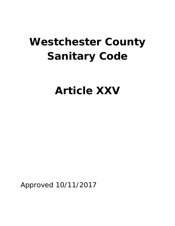# **Westchester County Sanitary Code**

**Article XXV**

Approved 10/11/2017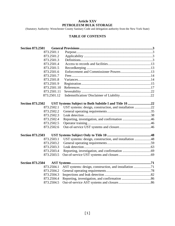# **Article XXV PETROLEUM BULK STORAGE**

(Statutory Authority: Westchester County Sanitary Code and delegation authority from the New York State)

# **TABLE OF CONTENTS**

| <b>Section 873.2501</b>                                              |  |
|----------------------------------------------------------------------|--|
| 873.2501.1                                                           |  |
| 873.2501.2                                                           |  |
| 873.2501.3                                                           |  |
| 873.2501.4                                                           |  |
| 873.2501.5                                                           |  |
| 873.2501.6                                                           |  |
| 873.2501.7                                                           |  |
| 873.2501.8                                                           |  |
| 873.2501.9                                                           |  |
| 873.2501.10                                                          |  |
| 873.2501.11                                                          |  |
| 873.2501.12                                                          |  |
|                                                                      |  |
| <b>Section 873.2502</b>                                              |  |
| UST systems: design, construction, and installation 22<br>873.2502.1 |  |
| 873.2502.2                                                           |  |
| 873.2502.3                                                           |  |
| 873.2502.4                                                           |  |
| 873.2502.5                                                           |  |
| 873.2502.6                                                           |  |
| <b>Section 873.2503</b>                                              |  |
| UST systems: design, construction, and installation 48<br>873.2503.1 |  |
| 873.2503.2                                                           |  |
| 873.2503.3                                                           |  |
| 873.2503.4                                                           |  |
| 873.2503.5                                                           |  |
| <b>Section 873.2504</b>                                              |  |
| 873.2504.1                                                           |  |
| 873.2504.2                                                           |  |
| 873.2504.3                                                           |  |
| 873.2504.4                                                           |  |
| 873.2504.5                                                           |  |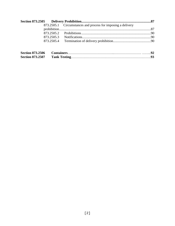|                         |            | 873.2505.1 Circumstances and process for imposing a delivery |  |
|-------------------------|------------|--------------------------------------------------------------|--|
|                         |            |                                                              |  |
|                         |            |                                                              |  |
|                         | 873.2505.3 |                                                              |  |
|                         | 873.2505.4 |                                                              |  |
|                         |            |                                                              |  |
| <b>Section 873.2506</b> |            |                                                              |  |
| <b>Section 873.2507</b> |            |                                                              |  |

<span id="page-2-0"></span>**Section 873.2507 Tank Testing**…………………………………………………………….**93**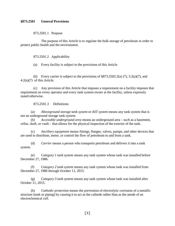#### **§873.2501 General Provisions**

873.2501.1 Purpose

The purpose of this Article is to regulate the bulk storage of petroleum in order to protect public health and the environment.

873.2501.2 Applicability

(a) Every facility is subject to the provisions of this Article.

(b) Every carrier is subject to the provisions of  $\S 873.2502.2(a)$  (7), 3.2(a)(7), and 4.2(a)(7) of this Article.

(c) Any provision of this Article that imposes a requirement on a facility imposes that requirement on every operator and every tank system owner at the facility, unless expressly stated otherwise.

873.2501.3 Definitions

(a) *Aboveground storage tank system* or *AST system* means any tank system that is not an underground storage tank system.

(b) *Accessible underground area* means an underground area – such as a basement, cellar, shaft, or vault – that allows for the physical inspection of the exterior of the tank.

(c) *Ancillary equipment* means fittings, flanges, valves, pumps, and other devices that are used to distribute, meter, or control the flow of petroleum to and from a tank.

(d) *Carrier* means a person who transports petroleum and delivers it into a tank system.

(e) *Category 1 tank system* means any tank system whose tank was installed before December 27, 1986.

(f) *Category 2 tank system* means any tank system whose tank was installed from December 27, 1986 through October 11, 2015.

(g) *Category 3 tank system* means any tank system whose tank was installed after October 11, 2015.

(h) *Cathodic protection* means the prevention of electrolytic corrosion of a metallic structure (tank or piping) by causing it to act as the cathode rather than as the anode of an electrochemical cell.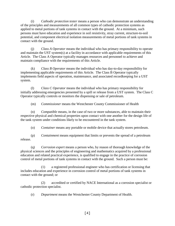(i) *Cathodic protection tester* means a person who can demonstrate an understanding of the principles and measurements of all common types of cathodic protection systems as applied to metal portions of tank systems in contact with the ground. At a minimum, such persons must have education and experience in soil resistivity, stray current, structure-to-soil potential, and component electrical isolation measurements of metal portions of tank systems in contact with the ground.

(j) *Class A Operator* means the individual who has primary responsibility to operate and maintain the UST system(s) at a facility in accordance with applicable requirements of this Article. The Class A Operator typically manages resources and personnel to achieve and maintain compliance with the requirements of this Article.

(k) *Class B Operator* means the individual who has day-to-day responsibility for implementing applicable requirements of this Article. The Class B Operator typically implements field aspects of operation, maintenance, and associated recordkeeping for a UST system.

(l) *Class C Operator* means the individual who has primary responsibility for initially addressing emergencies presented by a spill or release from a UST system. The Class C Operator typically controls or monitors the dispensing or sale of petroleum.

(m) *Commissioner* means the Westchester County Commissioner of Health

(n) *Compatible* means, in the case of two or more substances, able to maintain their respective physical and chemical properties upon contact with one another for the design life of the tank system under conditions likely to be encountered in the tank system.

(o) *Container* means any portable or mobile device that actually stores petroleum.

(p) *Containment* means equipment that limits or prevents the spread of a petroleum release.

(q) *Corrosion expert* means a person who, by reason of thorough knowledge of the physical sciences and the principles of engineering and mathematics acquired by a professional education and related practical experience, is qualified to engage in the practice of corrosion control of metal portions of tank systems in contact with the ground. Such a person must be:

(1) a registered professional engineer who has certification or licensing that includes education and experience in corrosion control of metal portions of tank systems in contact with the ground; or

(2) accredited or certified by NACE International as a corrosion specialist or cathodic protection specialist.

(r) *Department* means the Westchester County Department of Health.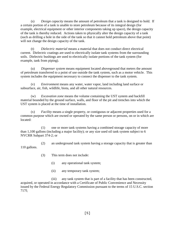(s) *Design capacity* means the amount of petroleum that a tank is designed to hold. If a certain portion of a tank is unable to store petroleum because of its integral design (for example, electrical equipment or other interior components taking up space), the design capacity of the tank is thereby reduced. Actions taken to physically alter the design capacity of a tank (such as drilling a hole in the side of the tank so that it cannot hold petroleum above that point) will not change the design capacity of the tank.

(t) *Dielectric material* means a material that does not conduct direct electrical current. Dielectric coatings are used to electrically isolate tank systems from the surrounding soils. Dielectric bushings are used to electrically isolate portions of the tank system (for example, tank from piping).

(u) *Dispenser system* means equipment located aboveground that meters the amount of petroleum transferred to a point of use outside the tank system, such as a motor vehicle. This system includes the equipment necessary to connect the dispenser to the tank system.

(v) *Environment* means any water, water vapor, land including land surface or subsurface, air, fish, wildlife, biota, and all other natural resources.

(w) *Excavation zone* means the volume containing the UST system and backfill material bounded by the ground surface, walls, and floor of the pit and trenches into which the UST system is placed at the time of installation.

(x) *Facility* means a single property, or contiguous or adjacent properties used for a common purpose which are owned or operated by the same person or persons, on or in which are located:

(1) one or more tank systems having a combined storage capacity of more than 1,100 gallons (including a major facility); or any size used oil tank system subject to 6 NYCRR Subpart 374-2; or

(2) an underground tank system having a storage capacity that is greater than 110 gallons.

- (3) This term does not include:
	- (i) any operational tank system;
	- (ii) any temporary tank system;

(iii) any tank system that is part of a facility that has been constructed, acquired, or operated in accordance with a Certificate of Public Convenience and Necessity issued by the Federal Energy Regulatory Commission pursuant to the terms of 15 U.S.C. section 717f;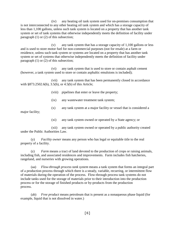(iv) any heating oil tank system used for on-premises consumption that is not interconnected to any other heating oil tank system and which has a storage capacity of less than 1,100 gallons, unless such tank system is located on a property that has another tank system or set of tank systems that otherwise independently meets the definition of facility under paragraph (1) or (2) of this subsection;

(v) any tank system that has a storage capacity of 1,100 gallons or less and is used to store motor fuel for non-commercial purposes (not for resale) at a farm or residence, unless such tank system or systems are located on a property that has another tank system or set of systems that otherwise independently meets the definition of facility under paragraph (1) or (2) of this subsection;

(vi) any tank system that is used to store or contain asphalt cement (however, a tank system used to store or contain asphaltic emulsions is included);

(vii) any tank system that has been permanently closed in accordance with §873.2502.6(b), 3.5(b), or 4.5(b) of this Article;

(viii) pipelines that enter or leave the property;

- (ix) any wastewater treatment tank system;
- (x) any tank system at a major facility or vessel that is considered a

major facility;

(xi) any tank system owned or operated by a State agency; or

(xii) any tank system owned or operated by a public authority created under the Public Authorities Law.

(y) *Facility owner* means any person who has legal or equitable title to the real property of a facility.

(z) *Farm* means a tract of land devoted to the production of crops or raising animals, including fish, and associated residences and improvements. Farm includes fish hatcheries, rangeland, and nurseries with growing operations.

(aa) *Flow-through process tank system* means a tank system that forms an integral part of a production process through which there is a steady, variable, recurring, or intermittent flow of materials during the operation of the process. Flow-through process tank systems do not include tanks used for the storage of materials prior to their introduction into the production process or for the storage of finished products or by-products from the production process.

(ab) *Free product* means petroleum that is present as a nonaqueous phase liquid (for example, liquid that is not dissolved in water.)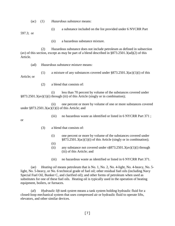(ac) (1) *Hazardous substance* means:

- (i) a substance included on the list provided under 6 NYCRR Part 597.3; or
	- (ii) a hazardous substance mixture.

(2) Hazardous substance does not include petroleum as defined in subsection (av) of this section, except as may be part of a blend described in §873.2501.3(ad)(2) of this Article.

(ad) *Hazardous substance mixture* means:

(1) a mixture of any substances covered under  $\S 873.2501.3(ac)(1)(i)$  of this Article; or

(2) a blend that consists of:

(i) less than 70 percent by volume of the substances covered under §873.2501.3(av)(1)(i) through (iii) of this Article (singly or in combination);

(ii) one percent or more by volume of one or more substances covered under  $\S 873.2501.3(ac)(1)(i)$  of this Article; and

(iii) no hazardous waste as identified or listed in 6 NYCRR Part 371 ;

or

- (3) a blend that consists of:
	- (i) one percent or more by volume of the substances covered under §873.2501.3(ac)(1)(i) of this Article (singly or in combination);
	- (ii)
	- (ii) any substance not covered under  $s\$ 873.2501.3(av)(1)(i) through (iii) of this Article; and
	- (iii) no hazardous waste as identified or listed in 6 NYCRR Part 371.

(ae) *Heating oil* means petroleum that is No. 1, No. 2, No. 4-light, No. 4-heavy, No. 5 light, No. 5-heavy, or No. 6 technical grade of fuel oil; other residual fuel oils (including Navy Special Fuel Oil, Bunker C, and clarified oil); and other forms of petroleum when used as substitutes for one of these fuel oils. Heating oil is typically used in the operation of heating equipment, boilers, or furnaces.

(af) *Hydraulic lift tank system* means a tank system holding hydraulic fluid for a closed-loop mechanical system that uses compressed air or hydraulic fluid to operate lifts, elevators, and other similar devices.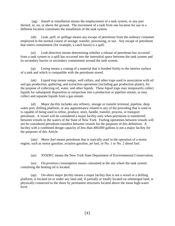(ag) *Install* or *installation* means the emplacement of a tank system, or any part thereof, in, on, or above the ground. The movement of a tank from one location for use in a different location constitutes the installation of the tank system.

(ah) *Leak*, *spill*, or *spillage* means any escape of petroleum from the ordinary container employed in the normal course of storage, transfer, processing, or use. Any escape of petroleum that enters containment (for example, a catch basin) is a spill.

(ai) *Leak detection* means determining whether a release of petroleum has occurred from a tank system or a spill has occurred into the interstitial space between the tank system and its secondary barrier or secondary containment around the tank system.

(aj) *Lining* means a coating of a material that is bonded firmly to the interior surface of a tank and which is compatible with the petroleum stored.

(ak) *Liquid trap* means sumps, well cellars, and other traps used in association with oil and gas production, gathering, and extraction operations (including gas production plants), for the purpose of collecting oil, water, and other liquids. These liquid traps may temporarily collect liquids for subsequent disposition or reinjection into a production or pipeline stream, or may collect and separate liquids from a gas stream.

(al) *Major facility* includes any refinery, storage or transfer terminal, pipeline, deep water port, drilling platform, or any appurtenance related to any of the preceding that is used or is capable of being used to refine, produce, store, handle, transfer, process, or transport petroleum. A vessel will be considered a major facility only when petroleum is transferred between vessels in the waters of the State of New York. Fueling operations between vessels will not be considered petroleum transfers between vessels for the purposes of this definition. A facility with a combined design capacity of less than 400,000 gallons is not a major facility for the purposes of this Article.

(am) *Motor fuel* means petroleum that is typically used in the operation of a motor engine, such as motor gasoline, aviation gasoline, jet fuel, or No. 1 or No. 2 diesel fuel.

(an) *NYSDEC* means the New York State Department of Environmental Conservation.

(ao) *On-premises consumption* means consumed at the site where the tank system containing the heating oil is located.

(ap) *On-shore major facility* means a major facility that is not a vessel or a drilling platform, is located on or under any land and, if partially or totally located on submerged land, is physically connected to the shore by permanent structures located above the mean high-water level.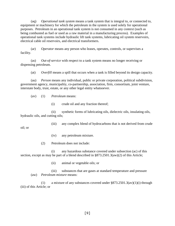(aq) *Operational tank system* means a tank system that is integral to, or connected to, equipment or machinery for which the petroleum in the system is used solely for operational purposes. Petroleum in an operational tank system is not consumed in any context (such as being combusted as fuel or used as a raw material in a manufacturing process). Examples of operational tank systems include hydraulic lift tank systems, lubricating oil system reservoirs, electrical cable oil reservoirs, and electrical transformers.

(ar) *Operator* means any person who leases, operates, controls, or supervises a facility.

(as) *Out-of-service* with respect to a tank system means no longer receiving or dispensing petroleum.

(at) *Overfill* means a spill that occurs when a tank is filled beyond its design capacity.

(au) *Person* means any individual, public or private corporation, political subdivision, government agency, municipality, co-partnership, association, firm, consortium, joint venture, interstate body, trust, estate, or any other legal entity whatsoever.

(av) (1) *Petroleum* means:

oil; or

(i) crude oil and any fraction thereof;

(ii) synthetic forms of lubricating oils, dielectric oils, insulating oils, hydraulic oils, and cutting oils;

(iii) any complex blend of hydrocarbons that is not derived from crude

- (iv) any petroleum mixture.
- (2) Petroleum does not include:

(i) any hazardous substance covered under subsection (ac) of this section, except as may be part of a blend described in  $\S 873.2501.3(aw)(2)$  of this Article;

(ii) animal or vegetable oils; or

(iii) substances that are gases at standard temperature and pressure (aw) *Petroleum mixture* means:

(1) a mixture of any substances covered under §873.2501.3(av)(1)(i) through (iii) of this Article; or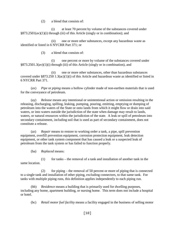(2) a blend that consists of:

(i) at least 70 percent by volume of the substances covered under §873.2501(av)(1)(i) through (iii) of this Article (singly or in combination); and

(ii) one or more other substances, except any hazardous waste as identified or listed in 6 NYCRR Part 371; or

(3) a blend that consists of:

(i) one percent or more by volume of the substances covered under §873.2501.3(av)(1)(i) through (iii) of this Article (singly or in combination), and

(ii) one or more other substances, other than hazardous substances covered under §873.250 1.3(ac)(1)(i) of this Article and hazardous waste as identified or listed in 6 NYCRR Part 371.

(ax) *Pipe* or *piping* means a hollow cylinder made of non-earthen materials that is used for the conveyance of petroleum.

(ay) *Release* means any intentional or unintentional action or omission resulting in the releasing, discharging, spilling, leaking, pumping, pouring, emitting, emptying or dumping of petroleum into the waters of the State or onto lands from which it might flow or drain into said waters, or into waters outside the jurisdiction of the state when damage may result to lands, waters, or natural resources within the jurisdiction of the state. A leak or spill of petroleum into secondary containment, including soil that is used as part of secondary containment, does not constitute a release.

(az) *Repair* means to restore to working order a tank, a pipe, spill prevention equipment, overfill prevention equipment, corrosion protection equipment, leak detection equipment, or other tank system component that has caused a leak or a suspected leak of petroleum from the tank system or has failed to function properly.

(ba) *Replaced* means:

 $(1)$  for tanks – the removal of a tank and installation of another tank in the same location.

(2) for piping – the removal of 50 percent or more of piping that is connected to a single tank and installation of other piping, excluding connectors, to that same tank. For tanks with multiple piping runs, this definition applies independently to each piping run.

(bb) *Residence* means a building that is primarily used for dwelling purposes, including any home, apartment building, or nursing home. This term does not include a hospital or hotel.

(bc) *Retail motor fuel facility* means a facility engaged in the business of selling motor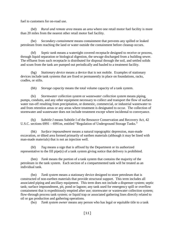fuel to customers for on-road use.

(bd) *Rural and remote area* means an area where one retail motor fuel facility is more than 20 miles from the nearest other retail motor fuel facility.

(be) *Secondary containment* means containment that prevents any spilled or leaked petroleum from reaching the land or water outside the containment before cleanup occurs.

(bf) *Septic tank* means a watertight covered receptacle designed to receive or process, through liquid separation or biological digestion, the sewage discharged from a building sewer. The effluent from such receptacle is distributed for disposal through the soil, and settled solids and scum from the tank are pumped out periodically and hauled to a treatment facility.

(bg) *Stationary device* means a device that is not mobile. Examples of stationary devices include tank systems that are fixed or permanently in place on foundations, racks, cradles, or stilts.

(bh) *Storage capacity* means the total volume capacity of a tank system.

(bi) *Stormwater collection system* or *wastewater collection system* means piping, pumps, conduits, and any other equipment necessary to collect and transport the flow of surface water run-off resulting from precipitation, or domestic, commercial, or industrial wastewater to and from retention areas or any areas where treatment is designated to occur. The collection of stormwater and wastewater does not include treatment except where incidental to conveyance.

(bj) *Subtitle I* means Subtitle I of the Resource Conservation and Recovery Act, 42 U.S.C. sections 6991 – 6991m, entitled "Regulation of Underground Storage Tanks."

(bk) *Surface impoundment* means a natural topographic depression, man-made excavation, or diked area formed primarily of earthen materials (although it may be lined with man-made materials) that is not an injection well.

(bl) *Tag* means a sign that is affixed by the Department or its authorized representative to the fill pipe(s) of a tank system giving notice that delivery is prohibited.

(bm) *Tank* means the portion of a tank system that contains the majority of the petroleum in the tank system. Each section of a compartmented tank will be treated as an individual tank.

(bn) *Tank system* means a stationary device designed to store petroleum that is constructed of non-earthen materials that provide structural support. This term includes all associated piping and ancillary equipment. This term does not include a dispenser system; septic tank; surface impoundment, pit, pond or lagoon; any tank used for emergency spill or overflow containment that is expeditiously emptied after use; stormwater or wastewater collection system; flow-through process tank system; or liquid trap or associated gathering lines directly related to oil or gas production and gathering operations.

(bo) *Tank system owner* means any person who has legal or equitable title to a tank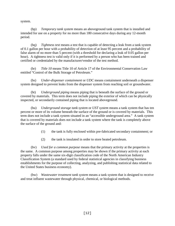system.

(bp) *Temporary tank system* means an aboveground tank system that is installed and intended for use on a property for no more than 180 consecutive days during any 12-month period.

(bq) *Tightness test* means a test that is capable of detecting a leak from a tank system of 0.1 gallon per hour with a probability of detection of at least 95 percent and a probability of false alarm of no more than 5 percent (with a threshold for declaring a leak of 0.05 gallon per hour). A tightness test is valid only if it is performed by a person who has been trained and certified or credentialed by the manufacturer/vendor of the test method.

(br) *Title 10* means Title 10 of Article 17 of the Environmental Conservation Law entitled "Control of the Bulk Storage of Petroleum."

(bs) *Under-dispenser containment* or *UDC* means containment underneath a dispenser system designed to prevent leaks from the dispenser system from reaching soil or groundwater.

(bt) *Underground piping* means piping that is beneath the surface of the ground or covered by materials. This term does not include piping the exterior of which can be physically inspected, or secondarily contained piping that is located aboveground.

(bu) *Underground storage tank system* or *UST system* means a tank system that has ten percent or more of its volume beneath the surface of the ground or is covered by materials. This term does not include a tank system situated in an "accessible underground area." A tank system that is covered by materials does not include a tank system where the tank is completely above the surface of the ground and:

- (1) the tank is fully enclosed within pre-fabricated secondary containment; or
- (2) the tank is insulated in order to store heated petroleum.

(bv) *Used for a common purpose* means that the primary activity at the properties is the same. A common purpose among properties may be shown if the primary activity at each property falls under the same six-digit classification code of the North American Industry Classification System (a standard used by federal statistical agencies in classifying business establishments for the purpose of collecting, analyzing, and publishing statistical data related to the United States business economy).

(bw) *Wastewater treatment tank system* means a tank system that is designed to receive and treat influent wastewater through physical, chemical, or biological methods.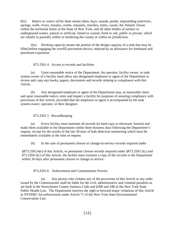(bx) *Waters* or *waters of the State* means lakes, bays, sounds, ponds, impounding reservoirs, springs, wells, rivers, streams, creeks, estuaries, marshes, inlets, canals, the Atlantic Ocean within the territorial limits of the State of New York, and all other bodies of surface or underground waters, natural or artificial, inland or coastal, fresh or salt, public or private, which are wholly or partially within or bordering the county or within its jurisdiction.

(by) *Working capacity* means the portion of the design capacity of a tank that may be filled before engaging the overfill prevention device, reduced by an allowance for freeboard and petroleum expansion.

873.2501.4 Access to records and facilities

<span id="page-13-0"></span>(a) Upon reasonable notice of the Department, the operator, facility owner, or tank system owner of a facility must allow any designated employee or agent of the Department to review and copy any books, papers, documents and records relating to compliance with this Article.

(b) Any designated employee or agent of the Department may, at reasonable times and upon reasonable notice, enter and inspect a facility for purposes of assuring compliance with provisions of this Article, provided that the employee or agent is accompanied by the tank system owner, operator, or their designee.

873.2501.5 Recordkeeping

<span id="page-13-1"></span>(a) Every facility must maintain all records (in hard copy or electronic format) and make them available to the Department within three business days following the Department's request, except for the results of the last 30 days of leak detection monitoring which must be immediately available at the time of request.

(b) In the case of permanent closure or change-in-service records required under

§873.2502.6(e) of this Article, or permanent closure records required under §873.2503.5(c) and 873.2504.5(c) of this Article, the facility must transmit a copy of the records to the Department within 30 days after permanent closure or change in service .

873.2501.6 Enforcement and Commissioner Powers

(a) Any person who violates any of the provisions of this Article or any order issued by the Commissioner shall be liable for the civil, administrative and criminal penalties as set forth in the Westchester County Sanitary Code and §309 and 348 of the New York State Public Health Law. The Department reserves the right to forward major violations of this Article to NYSDEC for enforcement under Article 71 of the New York State Environmental Conservation Law.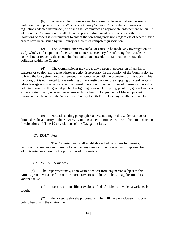(b) Whenever the Commissioner has reason to believe that any person is in violation of any provision of the Westchester County Sanitary Code or the administrative regulations adopted thereunder, he or she shall commence an appropriate enforcement action. In addition, the Commissioner shall take appropriate enforcement action whenever there are violations of orders issued pursuant to any of the foregoing provisions regardless of whether such orders have been issued by the County or a court of competent jurisdiction.

(c) The Commissioner may make, or cause to be made, any investigation or study which, in the opinion of the Commissioner, is necessary for enforcing this Article or controlling or reducing the contamination, pollution, potential contamination or potential pollution within the County.

(d) The Commissioner may order any person in possession of any land, structure or equipment to take whatever action is necessary, in the opinion of the Commissioner, to bring the land, structure or equipment into compliance with the provisions of this Code. This includes, but is not limited to, the ordering of tank testing and/or the emptying of a tank system when leakage is suspected or when continued operation of the facility would present a hazard or potential hazard to the general public, firefighting personnel, property, plant life, ground water or surface water quality or which interferes with the healthful enjoyment of life and property throughout such areas of the Westchester County Health District as may be affected thereby.

(e) Notwithstanding paragraph 3 above, nothing in this Order restricts or diminishes the authority of the NYSDEC Commissioner to initiate or cause to be initiated actions for violations of Title 10 or violations of the Navigation Law.

# 873.2501.7 Fees

<span id="page-14-0"></span>The Commissioner shall establish a schedule of fees for permits, certifications, reviews and training to recover any direct cost associated with implementing, administering or enforcing the provisions of this Article.

873. 2501.8 Variances.

<span id="page-14-1"></span>(a) The Department may, upon written request from any person subject to this Article, grant a variance from one or more provisions of this Article. An application for a variance must:

(1) identify the specific provisions of this Article from which a variance is sought;

(2) demonstrate that the proposed activity will have no adverse impact on public health and the environment;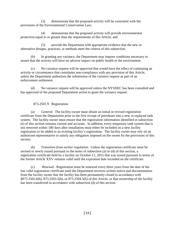(3) demonstrate that the proposed activity will be consistent with the provisions of the Environmental Conservation Law;

(4) demonstrate that the proposed activity will provide environmental protection equal to or greater than the requirements of this Article; and

(5) provide the Department with appropriate evidence that the new or alternative designs, practices, or methods meet the criteria of this subsection.

(b) In granting any variance, the Department may impose conditions necessary to assure that the activity will have no adverse impact on public health or the environment.

(c) No variance request will be approved that would have the effect of continuing an activity or circumstance that constitutes non-compliance with any provision of this Article, unless the Department authorizes the submission of the variance request as part of an enforcement settlement.

(d) No variance request will be approved unless the NYSDEC has been consulted and has approved of the proposed Department action to grant the variance request.

# 873.2501.9 Registration

<span id="page-15-0"></span>(a) *General*. The facility owner must obtain an initial or revised registration certificate from the Department prior to the first receipt of petroleum into a new or replaced tank system. The facility owner must ensure that the registration information identified in subsection (e) of this section remains current and accurate. In addition, every temporary tank system that is not removed within 180 days after installation must either be included on a new facility registration or be added to an existing facility's registration. The facility owner may rely on an authorized representative to satisfy any obligation imposed on the owner by the provisions of this section.

(b) *Transition from earlier regulation*. Unless the registration certificate must be revised or newly issued pursuant to the terms of subsection (a) or (d) of this section, a registration certificate held by a facility on October 11, 2015 that was issued pursuant to terms of the former Article XXV remains valid until the expiration date recorded on the certificate.

(c) *Renewal*. Registration must be renewed every three years from the date of the last valid registration certificate until the Department receives written notice and documentation from the facility owner that the facility has been permanently closed in accordance with §873.2502.6(b), 873.2503.5(b), or 873.2504.5(b) of this Article, or that ownership of the facility has been transferred in accordance with subsection (d) of this section.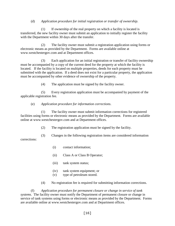## (d) *Application procedure for initial registration or transfer of ownership*.

(1) If ownership of the real property on which a facility is located is transferred, the new facility owner must submit an application to initially register the facility with the Department within 30 days after the transfer.

(2) The facility owner must submit a registration application using forms or electronic means as provided by the Department. Forms are available online at www.westchestergov.com and at Department offices.

(3) Each application for an initial registration or transfer of facility ownership must be accompanied by a copy of the current deed for the property at which the facility is located. If the facility is located on multiple properties, deeds for each property must be submitted with the application. If a deed does not exist for a particular property, the application must be accompanied by other evidence of ownership of the property.

(4) The application must be signed by the facility owner.

(5) Every registration application must be accompanied by payment of the applicable registration fee.

#### (e) *Application procedure for information corrections*.

(1) The facility owner must submit information corrections for registered facilities using forms or electronic means as provided by the Department. Forms are available online at www.westchestergov.com and at Department offices.

(2) The registration application must be signed by the facility.

(3) Changes in the following registration items are considered information corrections:

- (i) contact information;
- (ii) Class A or Class B Operator;
- (iii) tank system status;
- (iv) tank system equipment; or
- (v) type of petroleum stored.
- (4) No registration fee is required for submitting information corrections.

(f) *Application procedure for permanent closure or change in service of tank systems*. The facility owner must notify the Department of permanent closure or change in service of tank systems using forms or electronic means as provided by the Department. Forms are available online at www.westchestergov.com and at Department offices.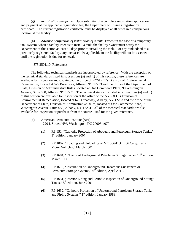(g) *Registration certificate*. Upon submittal of a complete registration application and payment of the applicable registration fee, the Department will issue a registration certificate. The current registration certificate must be displayed at all times in a conspicuous location at the facility.

(h) *Advance notification of installation of a tank*. Except in the case of a temporary tank system, when a facility intends to install a tank, the facility owner must notify the Department of this action at least 30 days prior to installing the tank. For any tank added to a previously registered facility, any increased fee applicable to the facility will not be assessed until the registration is due for renewal.

#### 873.2501.10 References

<span id="page-17-0"></span>The following technical standards are incorporated by reference. With the exception of the technical standards listed in subsections (a) and (f) of this section, these references are available for inspection and copying at the office of NYSDEC's Division of Environmental Remediation, located at 625 Broadway, Albany, NY 12233 and the office of the Department of State, Division of Administrative Rules, located at One Commerce Plaza, 99 Washington Avenue, Suite 650, Albany, NY 12231. The technical standards listed in subsections (a) and (f) of this section are available for inspection at the office of the NYSDEC's Division of Environmental Remediation, located at 625 Broadway, Albany, NY 12233 and the office of the Department of State, Division of Administrative Rules, located at One Commerce Plaza, 99 Washington Avenue, Suite 650, Albany, NY 12231. All of the technical standards are also available for inspection or purchase from the source listed for the given reference.

- (a) American Petroleum Institute (API) 1220 L Street, NW, Washington, DC 20005-4070
	- (1) RP 651, "Cathodic Protection of Aboveground Petroleum Storage Tanks,"  $3<sup>rd</sup>$  edition, January 2007.
	- (2) RP 1007, "Loading and Unloading of MC 306/DOT 406 Cargo Tank Motor Vehicles," March 2001.
	- (3) RP 1604, "Closure of Underground Petroleum Storage Tanks," 3rd edition, March 1996.
	- (4) RP 1615, "Installation of Underground Hazardous Substances or Petroleum Storage Systems," 6<sup>th</sup> edition, April 2011.
	- (5) RP 1631, "Interior Lining and Periodic Inspection of Underground Storage Tanks,"  $5<sup>th</sup>$  edition, June 2001.
	- (6) RP 1632, "Cathodic Protection of Underground Petroleum Storage Tanks and Piping Systems," 1<sup>st</sup> edition, January 1983.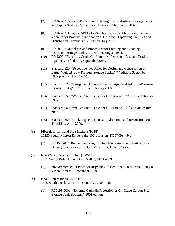- (7) RP 1632, "Cathodic Protection of Underground Petroleum Storage Tanks and Piping Systems," 3<sup>rd</sup> edition, January 1996 (revised 2002).
- (8) RP 1637, "Using the API Color-Symbol System to Mark Equipment and Vehicles for Product Identification at Gasoline Dispensing Facilities and Distribution Terminals," 3<sup>rd</sup> edition, July 2006.
- (9) RP 2016, "Guidelines and Procedures for Entering and Cleaning Petroleum Storage Tanks," 1<sup>st</sup> edition, August 2001.
- (10) RP 2200, "Repairing Crude Oil, Liquefied Petroleum Gas, and Product Pipelines," 4<sup>th</sup> edition, September 2010.
- (11) Standard 620, "Recommended Rules for Design and Construction of Large, Welded, Low-Pressure Storage Tanks," 7<sup>th</sup> edition, September 1982 (revised April 1985).
- (12) Standard 620, "Design and Construction of Large, Welded, Low-Pressure Storage Tanks," 11<sup>th</sup> edition, February 2008.
- (13) Standard 650, "Welded Steel Tanks for Oil Storage,"  $7<sup>th</sup>$  edition, February 1984.
- (14) Standard 650, "Welded Steel Tanks for Oil Storage,"  $12<sup>th</sup>$  edition, March 2013.
- (15) Standard 653, "Tank Inspection, Repair, Alteration, and Reconstruction," 4<sup>th</sup> edition, April 2009.
- (b) Fiberglass Tank and Pipe Institute (FTPI) 11150 South Wilcrest Drive, Suite 101, Houston, TX 77099-4343
	- (1) RP T-95-02, "Remanufacturing of Fiberglass Reinforced Plastic (FRP) Underground Storage Tanks," 2<sup>nd</sup> edition, January 1995.
- (c) Ken Wilcox Associates, Inc. (KWA) 1125 Valley Ridge Drive, Grain Valley, MO 64029
	- (1) "Recommended Practice for Inspecting Buried Lined Steel Tanks Using a Video Camera," September 1999.
- (d) NACE International (NACE) 1440 South Creek Drive, Houston, TX 77084-4906
	- (1) RP0193-2001, "External Cathodic Protection of On-Grade Carbon Steel Storage Tank Bottoms," 2001 edition.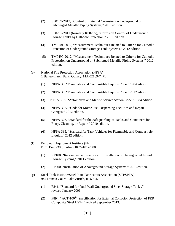- (2) SP0169-2013, "Control of External Corrosion on Underground or Submerged Metallic Piping Systems," 2013 edition.
- (3) SP0285-2011 (formerly RP0285), "Corrosion Control of Underground Storage Tanks by Cathodic Protection," 2011 edition.
- (4) TM0101-2012, "Measurement Techniques Related to Criteria for Cathodic Protection of Underground Storage Tank Systems," 2012 edition.
- (5) TM0497-2012, "Measurement Techniques Related to Criteria for Cathodic Protection on Underground or Submerged Metallic Piping Systems," 2012 edition.
- (e) National Fire Protection Association (NFPA) 1 Batterymarch Park, Quincy, MA 02169-7471
	- (1) NFPA 30, "Flammable and Combustible Liquids Code," 1984 edition.
	- (2) NFPA 30, "Flammable and Combustible Liquids Code," 2012 edition.
	- (3) NFPA 30A, "Automotive and Marine Service Station Code," 1984 edition.
	- (4) NFPA 30A, "Code for Motor Fuel Dispensing Facilities and Repair Garages," 2012 edition.
	- (5) NFPA 326, "Standard for the Safeguarding of Tanks and Containers for Entry, Cleaning, or Repair," 2010 edition.
	- (6) NFPA 385, "Standard for Tank Vehicles for Flammable and Combustible Liquids," 2012 edition.
- (f) Petroleum Equipment Institute (PEI) P. O. Box 2380, Tulsa, OK 74101-2380
	- (1) RP100, "Recommended Practices for Installation of Underground Liquid Storage Systems," 2011 edition.
	- (2) RP200, "Installation of Aboveground Storage Systems," 2013 edition.
- (g) Steel Tank Institute/Steel Plate Fabricators Association (STI/SPFA) 944 Donata Court, Lake Zurich, IL 60047
	- (1) F841, "Standard for Dual Wall Underground Steel Storage Tanks," revised January 2006.
	- (2) F894, "ACT-100®: Specification for External Corrosion Protection of FRP Composite Steel USTs," revised September 2013.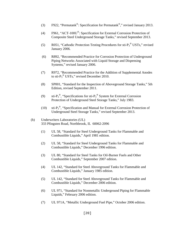- (3) F922, "Permatank®: Specification for Permatank®," revised January 2013.
- (4) F961, "ACT-100U®: Specification for External Corrosion Protection of Composite Steel Underground Storage Tanks," revised September 2013.
- (5) R051, "Cathodic Protection Testing Procedures for sti- $P_3^{\circ}$  USTs," revised January 2006.
- (6) R892, "Recommended Practice for Corrosion Protection of Underground Piping Networks Associated with Liquid Storage and Dispensing Systems," revised January 2006.
- (7) R972, "Recommended Practice for the Addition of Supplemental Anodes to sti- $P_3^{\circledR}$  USTs," revised December 2010.
- (8) SP001, "Standard for the Inspection of Aboveground Storage Tanks," 5th Edition, revised September 2011.
- (9) sti- $P_3^{\circledR}$ , "Specifications for sti- $P_3^{\circledR}$  System for External Corrosion Protection of Underground Steel Storage Tanks," July 1983.
- (10) sti- $P_3^{\circledR}$ , "Specification and Manual for External Corrosion Protection of Underground Steel Storage Tanks," revised September 2013.
- (h) Underwriters Laboratories (UL) 333 Pfingsten Road, Northbrook, IL 60062-2096
	- (1) UL 58, "Standard for Steel Underground Tanks for Flammable and Combustible Liquids," April 1981 edition.
	- (2) UL 58, "Standard for Steel Underground Tanks for Flammable and Combustible Liquids," December 1996 edition.
	- (3) UL 80, "Standard for Steel Tanks for Oil-Burner Fuels and Other Combustible Liquids," September 2007 edition.
	- (4) UL 142, "Standard for Steel Aboveground Tanks for Flammable and Combustible Liquids," January 1985 edition.
	- (5) UL 142, "Standard for Steel Aboveground Tanks for Flammable and Combustible Liquids," December 2006 edition.
	- (6) UL 971, "Standard for Nonmetallic Underground Piping for Flammable Liquids," February 2006 edition.
	- (7) UL 971A, "Metallic Underground Fuel Pipe," October 2006 edition.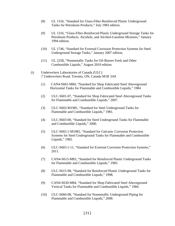- (8) UL 1316, "Standard for Glass-Fiber-Reinforced Plastic Underground Tanks for Petroleum Products," July 1983 edition.
- (9) UL 1316, "Glass-Fiber-Reinforced Plastic Underground Storage Tanks for Petroleum Products, Alcohols, and Alcohol-Gasoline Mixtures," January 1994 edition.
- (10) UL 1746, "Standard for External Corrosion Protection Systems for Steel Underground Storage Tanks," January 2007 edition.
- (11) UL 2258, "Nonmetallic Tanks for Oil-Burner Fuels and Other Combustible Liquids," August 2010 edition.
- (i) Underwriters Laboratories of Canada (ULC) 7 Underwriters Road, Toronto, ON, Canada M1R 3A9
	- (1) CAN4-S601-M84, "Standard for Shop Fabricated Steel Aboveground Horizontal Tanks for Flammable and Combustible Liquids," 1984
	- (2) ULC-S601-07, "Standard for Shop Fabricated Steel Aboveground Tanks for Flammable and Combustible Liquids," 2007.
	- (3) ULC-S603-M1981, "Standard for Steel Underground Tanks for Flammable and Combustible Liquids," 1981.
	- (4) ULC-S603-00, "Standard for Steel Underground Tanks for Flammable and Combustible Liquids," 2000.
	- (5) ULC-S603.1-M1982, "Standard for Galvanic Corrosion Protection Systems for Steel Underground Tanks for Flammable and Combustible Liquids," 1982.
	- (6) ULC-S603.1-11, "Standard for External Corrosion Protection Systems," 2011.
	- (7) CAN4-S615-M83, "Standard for Reinforced Plastic Underground Tanks for Flammable and Combustible Liquids," 1983.
	- (8) ULC-S615-98, "Standard for Reinforced Plastic Underground Tanks for Flammable and Combustible Liquids," 1998.
	- (9) CAN4-S630-M84, "Standard for Shop Fabricated Steel Aboveground Vertical Tanks for Flammable and Combustible Liquids," 1984.
	- (10) ULC-S660-08, "Standard for Nonmetallic Underground Piping for Flammable and Combustible Liquids," 2008.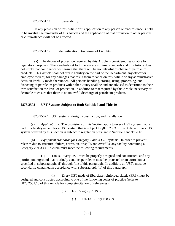873.2501.11 Severability.

<span id="page-22-0"></span> If any provision of this Article or its application to any person or circumstance is held to be invalid, the remainder of this Article and the application of that provision to other persons or circumstances will not be affected.

<span id="page-22-1"></span>873.2501.12 Indemnification/Disclaimer of Liability.

(a) The degree of protection required by this Article is considered reasonable for regulatory purposes. The standards set forth herein are minimal standards and this Article does not imply that compliance will ensure that there will be no unlawful discharge of petroleum products. This Article shall not create liability on the part of the Department, any officer or employee thereof, for any damages that result from reliance on this Article or any administrative decision lawfully made thereunder. All persons handling, storing, using, processing, and disposing of petroleum products within the County shall be and are advised to determine to their own satisfaction the level of protection, in addition to that required by this Article, necessary or desirable to ensure that there is no unlawful discharge of petroleum products.

#### <span id="page-22-2"></span>**§873.2502 UST Systems Subject to Both Subtitle I and Title 10**

873.2502.1 UST systems: design, construction, and installation

(a) *Applicability*. The provisions of this Section apply to every UST system that is part of a facility except for a UST system that is subject to §873.2503 of this Article. Every UST system covered by this Section is subject to regulation pursuant to Subtitle I and Title 10.

(b) *Equipment standards for Category 2 and 3 UST systems*. In order to prevent releases due to structural failure, corrosion, or spills and overfills, any facility containing a Category 2 or 3 UST system must meet the following requirements.

(1) Tanks. Every UST must be properly designed and constructed, and any portion underground that routinely contains petroleum must be protected from corrosion, as specified in subparagraphs (i) through (iii) of this paragraph. In addition, all USTs must be secondarily contained in accordance with subparagraph (iv) of this paragraph:

(i) Every UST made of fiberglass-reinforced plastic (FRP) must be designed and constructed according to one of the following codes of practice (refer to §873.2501.10 of this Article for complete citation of references):

- (*a*) For Category 2 USTs:
	- (*1*) UL 1316, July 1983; or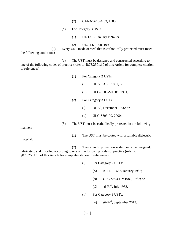- (*2*) CAN4-S615-M83, 1983;
- (*b*) For Category 3 USTs:

(*1*) UL 1316, January 1994; or

(*2*) ULC-S615-98, 1998.

(ii) Every UST made of steel that is cathodically protected must meet the following conditions:

(*a*) The UST must be designed and constructed according to one of the following codes of practice (refer to §873.2501.10 of this Article for complete citation of references):

- (*1*) For Category 2 USTs:
	- (*i*) UL 58, April 1981; or
	- (*ii*) ULC-S603-M1981, 1981;
- (*2*) For Category 3 USTs:
	- (*i*) UL 58, December 1996; or
	- (*ii*) ULC-S603-00, 2000;

(*b*) The UST must be cathodically protected in the following

(*1*) The UST must be coated with a suitable dielectric

(*2*) The cathodic protection system must be designed, fabricated, and installed according to one of the following codes of practice (refer to §873.2501.10 of this Article for complete citation of references):

- (*i*) For Category 2 USTs:
	- (*A*) API RP 1632, January 1983;
	- (*B*) ULC-S603.1-M1982, 1982; or

 $(C)$  sti- $P_3^{\circledR}$ , July 1983.

- (*ii*) For Category 3 USTs:
	- $(A)$  sti- $P_3^{\circledR}$ , September 2013;

[23]

manner:

material;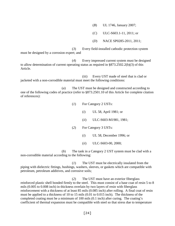(*B*) UL 1746, January 2007;

(*C*) ULC-S603.1-11, 2011; or

(*D*) NACE SP0285-2011, 2011;

(*3*) Every field-installed cathodic protection system must be designed by a corrosion expert; and

(*4*) Every impressed current system must be designed to allow determination of current operating status as required in §873.2502.2(b)(3) of this Article.

(iii) Every UST made of steel that is clad or jacketed with a non-corrodible material must meet the following conditions:

(*a*) The UST must be designed and constructed according to one of the following codes of practice (refer to §873.2501.10 of this Article for complete citation of references):

(*1*) For Category 2 USTs:

(*i*) UL 58, April 1981; or

(*ii*) ULC-S603-M1981, 1981;

(*2*) For Category 3 USTs:

(*i*) UL 58, December 1996; or

(*ii*) ULC-S603-00, 2000;

(*b*) The tank in a Category 2 UST system must be clad with a non-corrodible material according to the following:

(*1*) The UST must be electrically insulated from the piping with dielectric fittings, bushings, washers, sleeves, or gaskets which are compatible with petroleum, petroleum additives, and corrosive soils;

(*2*) The UST must have an exterior fiberglass reinforced plastic shell bonded firmly to the steel. This must consist of a base coat of resin 5 to 8 mils (0.005 to 0.008 inch) in thickness overlain by two layers of resin with fiberglass reinforcement with a thickness of at least 85 mils (0.085 inch) after rolling. A final coat of resin must be applied to a thickness of 10 to 15 mils (0.01 to 0.015 inch). The thickness of the completed coating must be a minimum of 100 mils (0.1 inch) after curing. The coating's coefficient of thermal expansion must be compatible with steel so that stress due to temperature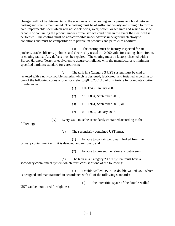changes will not be detrimental to the soundness of the coating and a permanent bond between coating and steel is maintained. The coating must be of sufficient density and strength to form a hard impermeable shell which will not crack, wick, wear, soften, or separate and which must be capable of containing the product under normal service conditions in the event the steel wall is perforated. The coating must be non-corrodible under adverse underground electrolytic conditions and must be compatible with petroleum products and petroleum additives;

(*3*) The coating must be factory-inspected for air pockets, cracks, blisters, pinholes, and electrically tested at 10,000 volts for coating short circuits or coating faults. Any defects must be repaired. The coating must be factory checked with a Barcol Hardness Tester or equivalent to assure compliance with the manufacturer's minimum specified hardness standard for cured resin;

(*c*) The tank in a Category 3 UST system must be clad or jacketed with a non-corrodible material which is designed, fabricated, and installed according to one of the following codes of practice (refer to §873.2501.10 of this Article for complete citation of references):

(*1*) UL 1746, January 2007;

(*2*) STI F894, September 2013;

(*3*) STI F961, September 2013; or

(*4*) STI F922, January 2013.

(iv) Every UST must be secondarily contained according to the

following:

(*a*) The secondarily contained UST must:

(*1*) be able to contain petroleum leaked from the primary containment until it is detected and removed; and

(*2*) be able to prevent the release of petroleum;

(*b*) The tank in a Category 2 UST system must have a secondary containment system which must consist of one of the following:

(*1*) Double-walled USTs. A double-walled UST which is designed and manufactured in accordance with all of the following standards:

UST can be monitored for tightness;

(*i*) the interstitial space of the double-walled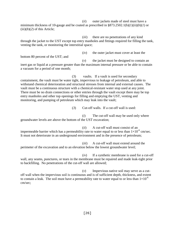(*ii*) outer jackets made of steel must have a minimum thickness of 10-gauge and be coated as prescribed in  $\S 873.2502.1(b)(1)(ii)(b)(1)$  or  $(iii)(b)(2)$  of this Article;

(*iii*) there are no penetrations of any kind through the jacket to the UST except top entry manholes and fittings required for filling the tank, venting the tank, or monitoring the interstitial space;

bottom 80 percent of the UST; and

(*v*) the jacket must be designed to contain an inert gas or liquid at a pressure greater than the maximum internal pressure or be able to contain a vacuum for a period of one month;

(3) vaults. If a vault is used for secondary containment, the vault must be water tight, impervious to leakage of petroleum, and able to withstand chemical deterioration and structural stresses from internal and external causes. The vault must be a continuous structure with a chemical-resistant water stop used at any joint. There must be no drain connections or other entries through the vault except there may be top entry manholes and other top openings for filling and emptying the UST, venting and monitoring, and pumping of petroleum which may leak into the vault;

(*3*) Cut-off walls. If a cut-off wall is used:

(*iv*) the outer jacket must cover at least the

(*i*) The cut-off wall may be used only where groundwater levels are above the bottom of the UST excavation;

(*ii*) A cut-off wall must consist of an impermeable barrier which has a permeability rate to water equal to or less than  $1\times10^{-6}$  cm/sec. It must not deteriorate in an underground environment and in the presence of petroleum;

(*iii*) A cut-off wall must extend around the perimeter of the excavation and to an elevation below the lowest groundwater level;

(*iv*) If a synthetic membrane is used for a cut-off wall, any seams, punctures, or tears in the membrane must be repaired and made leak-tight prior to backfilling. No penetrations of the cut-off wall are allowed;

(*v*) Impervious native soil may serve as a cutoff wall when the impervious soil is continuous and is of sufficient depth, thickness, and extent to contain a leak. The soil must have a permeability rate to water equal to or less than  $1\times10^{-6}$ cm/sec;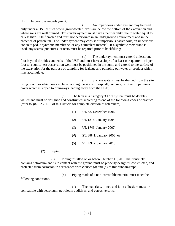(*4*) Impervious underlayment;

(*i*) An impervious underlayment may be used only under a UST at sites where groundwater levels are below the bottom of the excavation and where soils are well drained. This underlayment must have a permeability rate to water equal to or less than  $1\times10^{-6}$  cm/sec and must not deteriorate in an underground environment and in the presence of petroleum. The underlayment may consist of impervious native soils, an impervious concrete pad, a synthetic membrane, or any equivalent material. If a synthetic membrane is used, any seams, punctures, or tears must be repaired prior to backfilling;

(*ii*) The underlayment must extend at least one foot beyond the sides and ends of the UST and must have a slope of at least one-quarter inch per foot to a sump. An observation well must be positioned in the sump and extend to the surface of the excavation for the purpose of sampling for leakage and pumping out water or product which may accumulate;

(*iii*) Surface waters must be drained from the site using practices which may include capping the site with asphalt, concrete, or other impervious cover which is sloped to drainways leading away from the UST;

(*c*) The tank in a Category 3 UST system must be doublewalled and must be designed and constructed according to one of the following codes of practice (refer to §873.2501.10 of this Article for complete citation of references):

- (*1*) UL 58, December 1996;
- (*2*) UL 1316, January 1994;
- (*3*) UL 1746, January 2007;
- (*4*) STI F841, January 2006; or
- (*5*) STI F922, January 2013.

(2) Piping.

(i) Piping installed on or before October 11, 2015 that routinely contains petroleum and is in contact with the ground must be properly designed, constructed, and protected from corrosion in accordance with clauses (*a*) and (*b*) of this subparagraph.

following conditions.

(*a*) Piping made of a non-corrodible material must meet the

(*1*) The materials, joints, and joint adhesives must be compatible with petroleum, petroleum additives, and corrosive soils.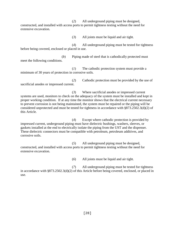(*2*) All underground piping must be designed, constructed, and installed with access ports to permit tightness testing without the need for extensive excavation.

(*3*) All joints must be liquid and air tight.

(*4*) All underground piping must be tested for tightness before being covered, enclosed or placed in use.

(*b*) Piping made of steel that is cathodically protected must meet the following conditions.

(*1*) The cathodic protection system must provide a minimum of 30 years of protection in corrosive soils.

(*2*) Cathodic protection must be provided by the use of sacrificial anodes or impressed current.

(*3*) Where sacrificial anodes or impressed current systems are used, monitors to check on the adequacy of the system must be installed and kept in proper working condition. If at any time the monitor shows that the electrical current necessary to prevent corrosion is not being maintained, the system must be repaired or the piping will be considered unprotected and must be tested for tightness in accordance with §873.2502.3(d)(2) of this Article.

(*4*) Except where cathodic protection is provided by impressed current, underground piping must have dielectric bushings, washers, sleeves, or gaskets installed at the end to electrically isolate the piping from the UST and the dispenser. These dielectric connectors must be compatible with petroleum, petroleum additives, and corrosive soils.

(*5*) All underground piping must be designed, constructed, and installed with access ports to permit tightness testing without the need for extensive excavation.

(*6*) All joints must be liquid and air tight.

(*7*) All underground piping must be tested for tightness in accordance with §873.2502.3(d)(2) of this Article before being covered, enclosed, or placed in use.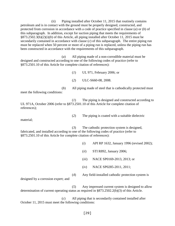(ii) Piping installed after October 11, 2015 that routinely contains petroleum and is in contact with the ground must be properly designed, constructed, and protected from corrosion in accordance with a code of practice specified in clause (*a*) or (*b*) of this subparagraph. In addition, except for suction piping that meets the requirements of §873.2502.3(b)(2)(i)(*b*) of this Article, all piping installed after October 11, 2015 must be secondarily contained in accordance with clause (*c*) of this subparagraph. The entire piping run must be replaced when 50 percent or more of a piping run is replaced, unless the piping run has been constructed in accordance with the requirements of this subparagraph.

(*a*) All piping made of a non-corrodible material must be designed and constructed according to one of the following codes of practice (refer to §873.2501.10 of this Article for complete citation of references):

(*1*) UL 971, February 2006; or

(*2*) ULC-S660-08, 2008.

(*b*) All piping made of steel that is cathodically protected must meet the following conditions:

(*1*) The piping is designed and constructed according to UL 971A, October 2006 (refer to §873.2501.10 of this Article for complete citation of references);

(*2*) The piping is coated with a suitable dielectric

material;

(*3*) The cathodic protection system is designed, fabricated, and installed according to one of the following codes of practice (refer to §873.2501.10 of this Article for complete citation of references):

- (*i*) API RP 1632, January 1996 (revised 2002);
- (*ii*) STI R892, January 2006;
- (*iii*) NACE SP0169-2013, 2013; or

(*4*) Any field-installed cathodic protection system is

(*iv*) NACE SP0285-2011, 2011;

designed by a corrosion expert; and

(*5*) Any impressed current system is designed to allow determination of current operating status as required in §873.2502.2(b)(3) of this Article.

(*c*) All piping that is secondarily contained installed after October 11, 2015 must meet the following conditions: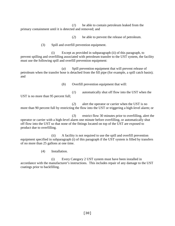(*1*) be able to contain petroleum leaked from the primary containment until it is detected and removed; and

(*2*) be able to prevent the release of petroleum.

(3) Spill and overfill prevention equipment.

(i) Except as provided in subparagraph (ii) of this paragraph, to prevent spilling and overfilling associated with petroleum transfer to the UST system, the facility must use the following spill and overfill prevention equipment:

(*a*) Spill prevention equipment that will prevent release of petroleum when the transfer hose is detached from the fill pipe (for example, a spill catch basin); and

(*b*) Overfill prevention equipment that will:

(*1*) automatically shut off flow into the UST when the UST is no more than 95 percent full;

(*2*) alert the operator or carrier when the UST is no more than 90 percent full by restricting the flow into the UST or triggering a high-level alarm; or

(*3*) restrict flow 30 minutes prior to overfilling, alert the operator or carrier with a high-level alarm one minute before overfilling, or automatically shut off flow into the UST so that none of the fittings located on top of the UST are exposed to product due to overfilling.

(ii) A facility is not required to use the spill and overfill prevention equipment specified in subparagraph (i) of this paragraph if the UST system is filled by transfers of no more than 25 gallons at one time.

(4) Installation.

(i) Every Category 2 UST system must have been installed in accordance with the manufacturer's instructions. This includes repair of any damage to the UST coatings prior to backfilling.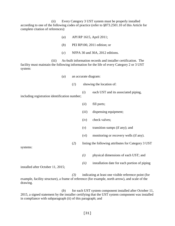(ii) Every Category 3 UST system must be properly installed according to one of the following codes of practice (refer to §873.2501.10 of this Article for complete citation of references):

- (*a*) API RP 1615, April 2011;
- (*b*) PEI RP100, 2011 edition; or
- (*c*) NFPA 30 and 30A, 2012 editions.

(iii) As-built information records and installer certification. The facility must maintain the following information for the life of every Category 2 or 3 UST system:

- (*a*) an accurate diagram:
	- (*1*) showing the location of:
- (*i*) each UST and its associated piping, including registration identification number;
	- (*ii*) fill ports;
	- (*iii*) dispensing equipment;
	- (*iv*) check valves;
	- (*v*) transition sumps (if any); and
	- (*vi*) monitoring or recovery wells (if any).
	- (*2*) listing the following attributes for Category 3 UST

systems:

- *(i)* physical dimensions of each UST; and
- *(ii)* installation date for each portion of piping

installed after October 11, 2015;

 *(3)* indicating at least one visible reference point (for example, facility structure), a frame of reference (for example, north arrow), and scale of the drawing.

(*b*) for each UST system component installed after October 11, 2015, a signed statement by the installer certifying that the UST system component was installed in compliance with subparagraph (ii) of this paragraph; and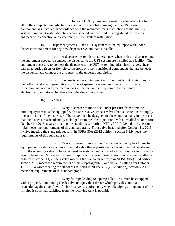(*c*) for each UST system component installed after October 11, 2015, the completed manufacturer's installation checklist showing that the UST system component was installed in accordance with the manufacturer's instructions or that the UST system component installation has been inspected and certified by a registered professional engineer with education and experience in UST system installation.

(5) Dispenser systems. Each UST system must be equipped with underdispenser containment for any new dispenser system that is installed.

(i) A dispenser system is considered new when both the dispenser and the equipment needed to connect the dispenser to the UST system are installed at a facility. The equipment necessary to connect the dispenser to the UST system includes check valves, shear valves, unburied risers or flexible connectors, or other transitional components that are beneath the dispenser and connect the dispenser to the underground piping.

(ii) Under-dispenser containment must be liquid-tight on its sides, on the bottom, and at any penetrations. Under-dispenser containment must allow for visual inspection and access to the components in the containment system or be continuously electronically monitored for leaks from the dispenser system.

# (6) Valves.

(i) Every dispenser of motor fuel under pressure from a remote pumping system must be equipped with a shear valve (impact valve) that is located in the supply line at the inlet of the dispenser. The valve must be designed to close automatically in the event that the dispenser is accidentally dislodged from the inlet pipe. For a valve installed on or before October 11, 2015, a valve meeting the standards set forth in NFPA 30A (1984 edition), section 4-3.6 meets the requirements of this subparagraph. For a valve installed after October 11, 2015, a valve meeting the standards set forth in NFPA 30A (2012 edition), section 6.3.9 meets the requirements of this subparagraph.

(ii) Every dispenser of motor fuel that causes a gravity head must be equipped with a device such as a solenoid valve that is positioned adjacent to and downstream from the operating valve. The valve must be installed and adjusted so that liquid cannot flow by gravity from the UST system in case of piping or dispenser hose failure. For a valve installed on or before October 11, 2015, a valve meeting the standards set forth in NFPA 30A (1984 edition), section 2-1.7 meets the requirements of this subparagraph. For a valve installed after October 11, 2015, a valve meeting the standards set forth in NFPA 30A (2012 edition), section 4.2.4 meets the requirements of this subparagraph.

(iii) Every fill pipe leading to a pump-filled UST must be equipped with a properly functioning check valve or equivalent device which provides automatic protection against backflow. A check valve is required only when the piping arrangement of the fill pipe is such that backflow from the receiving tank is possible.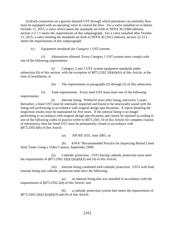(iv)Each connection on a gravity-drained UST through which petroleum can normally flow must be equipped with an operating valve to control the flow. For a valve installed on or before October 11, 2015, a valve which meets the standards set forth in NFPA 30 (1984 edition), section 2-2.7.1 meets the requirements of this subparagraph. For a valve installed after October 11, 2015, a valve meeting the standards set forth in NFPA 30 (2012 edition), section 22.13.1 meets the requirements of this subparagraph.

## (c) *Equipment standards for Category 1 UST systems*.

(1) Alternatives allowed. Every Category 1 UST system must comply with one of the following requirements:

(i) Category 2 and 3 UST system equipment standards under subsection (b) of this section, with the exception of §873.2502.1(b)(4)(iii) of this Article, at the time of installation; or

(ii) The requirements in paragraphs (2) through (5) of this subsection.

(2) Tank requirements. Every steel UST must meet one of the following requirements:

(i) Internal lining. Within10 years after lining, and every 5 years thereafter, a lined UST must be internally inspected and found to be structurally sound with the lining still performing in accordance with original design specifications. A report detailing the inspection results must be maintained for five years. If the internal lining is no longer performing in accordance with original design specifications and cannot be repaired according to one of the following codes of practice (refer to §873.2501.10 of this Article for complete citation of references), then the lined UST must be permanently closed in accordance with §873.2502.6(b) of this Article.

(*a*) API RP 1631, June 2001; or

(*b*) KWA "Recommended Practice for Inspecting Buried Lined Steel Tanks Using a Video Camera, September 1999;

(ii) Cathodic protection. USTs having cathodic protection must meet the requirements of  $\S 873.2502.1(b)(1)(ii)(b)(3)$  and (4) of this Article;

(iii) Internal lining combined with cathodic protection. USTs with both internal lining and cathodic protection must have the following:

(*a*) an internal lining that was installed in accordance with the requirements of §873.2502.2(d) of this Article; and

(*b*) a cathodic protection system that meets the requirements of §873.2502.1(b)(1)(ii)(*b*)(*3*) and (*4*) of this Article.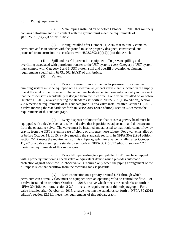(3) Piping requirements.

(i) Metal piping installed on or before October 11, 2015 that routinely contains petroleum and is in contact with the ground must meet the requirements of §873.2502.1(b)(2)(i) of this Article.

(ii) Piping installed after October 11, 2015 that routinely contains petroleum and is in contact with the ground must be properly designed, constructed, and protected from corrosion in accordance with §873.2502.1(b)(2)(ii) of this Article.

(4) Spill and overfill prevention equipment. To prevent spilling and overfilling associated with petroleum transfer to the UST system, every Category 1 UST system must comply with Category 2 and 3 UST system spill and overfill prevention equipment requirements specified in §873.2502.1(b)(3) of this Article.

(5) Valves.

(i) Every dispenser of motor fuel under pressure from a remote pumping system must be equipped with a shear valve (impact valve) that is located in the supply line at the inlet of the dispenser. The valve must be designed to close automatically in the event that the dispenser is accidentally dislodged from the inlet pipe. For a valve installed on or before October 11, 2015, a valve meeting the standards set forth in NFPA 30A (1984 edition), section 4-3.6 meets the requirements of this subparagraph. For a valve installed after October 11, 2015, a valve meeting the standards set forth in NFPA 30A (2012 edition), section 6.3.9 meets the requirements of this subparagraph.

(ii) Every dispenser of motor fuel that causes a gravity head must be equipped with a device such as a solenoid valve that is positioned adjacent to and downstream from the operating valve. The valve must be installed and adjusted so that liquid cannot flow by gravity from the UST system in case of piping or dispenser hose failure. For a valve installed on or before October 11, 2015, a valve meeting the standards set forth in NFPA 30A (1984 edition), section 2-1.7 meets the requirements of this subparagraph. For a valve installed after October 11, 2015, a valve meeting the standards set forth in NFPA 30A (2012 edition), section 4.2.4 meets the requirements of this subparagraph.

(iii) Every fill pipe leading to a pump-filled UST must be equipped with a properly functioning check valve or equivalent device which provides automatic protection against backflow. A check valve is required only when the piping arrangement of the fill pipe is such that backflow from the receiving tank is possible.

(iv) Each connection on a gravity-drained UST through which petroleum can normally flow must be equipped with an operating valve to control the flow. For a valve installed on or before October 11, 2015, a valve which meets the standards set forth in NFPA 30 (1984 edition), section 2-2.7.1 meets the requirements of this subparagraph. For a valve installed after October 11, 2015, a valve meeting the standards set forth in NFPA 30 (2012 edition), section 22.13.1 meets the requirements of this subparagraph.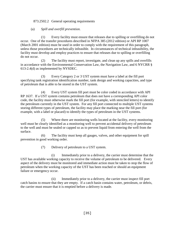## <span id="page-35-0"></span>873.2502.2 General operating requirements

## (a) *Spill and overfill prevention*.

(1) Every facility must ensure that releases due to spilling or overfilling do not occur. One of the transfer procedures described in NFPA 385 (2012 edition) or API RP 1007 (March 2001 edition) must be used in order to comply with the requirement of this paragraph, unless those procedures are technically infeasible. In circumstances of technical infeasibility, the facility must develop and employ practices to ensure that releases due to spilling or overfilling do not occur.

(2) The facility must report, investigate, and clean up any spills and overfills in accordance with the Environmental Conservation Law, the Navigation Law, and 6 NYCRR § 613-2.4(d) as implemented by NYSDEC.

(3) Every Category 2 or 3 UST system must have a label at the fill port specifying tank registration identification number, tank design and working capacities, and type of petroleum that is able to be stored in the UST system.

(4) Every UST system fill port must be color coded in accordance with API RP 1637. If a UST system contains petroleum that does not have a corresponding API color code, the facility must otherwise mark the fill port (for example, with stenciled letters) to identify the petroleum currently in the UST system. For any fill port connected to multiple UST systems storing different types of petroleum, the facility may place the marking near the fill port (for example, with a label or placard) to identify the types of petroleum in the UST systems.

(5) Where there are monitoring wells located at the facility, every monitoring well must be clearly identified as a monitoring well to prevent accidental delivery of petroleum to the well and must be sealed or capped so as to prevent liquid from entering the well from the surface.

(6) The facility must keep all gauges, valves, and other equipment for spill prevention in good working order.

(7) Delivery of petroleum to a UST system.

(i) Immediately prior to a delivery, the carrier must determine that the UST has available working capacity to receive the volume of petroleum to be delivered. Every aspect of the delivery must be monitored and immediate action must be taken to stop the flow of petroleum when the working capacity of the UST has been reached or should an equipment failure or emergency occur.

(ii) Immediately prior to a delivery, the carrier must inspect fill port catch basins to ensure that they are empty. If a catch basin contains water, petroleum, or debris, the carrier must ensure that it is emptied before a delivery is made.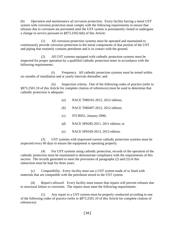(b) *Operation and maintenance of corrosion protection*. Every facility having a metal UST system with corrosion protection must comply with the following requirements to ensure that releases due to corrosion are prevented until the UST system is permanently closed or undergoes a change in service pursuant to §873.2502.6(b) of this Article:

(1) All corrosion protection systems must be operated and maintained to continuously provide corrosion protection to the metal components of that portion of the UST and piping that routinely contains petroleum and is in contact with the ground.

(2) All UST systems equipped with cathodic protection systems must be inspected for proper operation by a qualified cathodic protection tester in accordance with the following requirements:

(i) Frequency. All cathodic protection systems must be tested within six months of installation and at yearly intervals thereafter; and

(ii) Inspection criteria. One of the following codes of practice (refer to §873.2501.10 of this Article for complete citation of references) must be used to determine that cathodic protection is adequate:

(*a*) NACE TM0101-2012, 2012 edition;

- (*b*) NACE TM0497-2012, 2012 edition;
- (*c*) STI R051, January 2006;
- (*d*) NACE SP0285-2011, 2011 edition; or
- (*e*) NACE SP0169-2013, 2013 edition.

(3) UST systems with impressed current cathodic protection systems must be inspected every 60 days to ensure the equipment is operating properly.

(4) For UST systems using cathodic protection, records of the operation of the cathodic protection must be maintained to demonstrate compliance with the requirements of this section. The records generated to meet the provisions of paragraphs (2) and (3) of this subsection must be kept for three years.

(c) *Compatibility*. Every facility must use a UST system made of or lined with materials that are compatible with the petroleum stored in the UST system.

(d) *Repairs allowed*. Every facility must ensure that repairs will prevent releases due to structural failure or corrosion. The repairs must meet the following requirements:

(1) Any repair to a UST system must be properly conducted according to one of the following codes of practice (refer to §873.2501.10 of this Article for complete citation of references):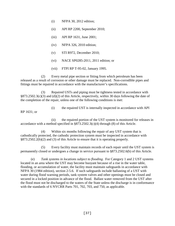- (i) NFPA 30, 2012 edition;
- (ii) API RP 2200, September 2010;
- (iii) API RP 1631, June 2001;
- (iv) NFPA 326, 2010 edition;
- (v) STI R972, December 2010;
- (vi) NACE SP0285-2011, 2011 edition; or
- (vii) FTPI RP T-95-02, January 1995.

(2) Every metal pipe section or fitting from which petroleum has been released as a result of corrosion or other damage must be replaced. Non-corrodible pipes and fittings must be repaired in accordance with the manufacturer's specifications.

(3) Repaired USTs and piping must be tightness tested in accordance with §873.2502.3(c)(3) and (d)(2) of this Article, respectively, within 30 days following the date of the completion of the repair, unless one of the following conditions is met:

(i) the repaired UST is internally inspected in accordance with API

RP 1631; or

(ii) the repaired portion of the UST system is monitored for releases in accordance with a method specified in §873.2502.3(c)(4) through (8) of this Article.

(4) Within six months following the repair of any UST system that is cathodically protected, the cathodic protection system must be inspected in accordance with §873.2502.2(b)(2) and (3) of this Article to ensure that it is operating properly.

(5) Every facility must maintain records of each repair until the UST system is permanently closed or undergoes a change in service pursuant to §873.2502.6(b) of this Article.

(e) *Tank systems in locations subject to flooding*. For Category 1 and 2 UST systems located in an area where the UST may become buoyant because of a rise in the water table, flooding, or accumulation of water, the facility must maintain safeguards in accordance with NFPA 30 (1984 edition), section 2-5.6. If such safeguards include ballasting of a UST with water during flood warning periods, tank system valves and other openings must be closed and secured in a locked position in advance of the flood. Ballast water removed from the UST after the flood must not be discharged to the waters of the State unless the discharge is in conformance with the standards of 6 NYCRR Parts 701, 702, 703, and 750, as applicable.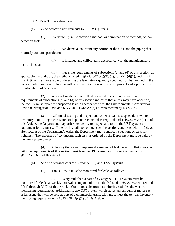### 873.2502.3 Leak detection

(a) *Leak detection requirements for all UST systems*.

(1) Every facility must provide a method, or combination of methods, of leak detection that:

(i) can detect a leak from any portion of the UST and the piping that routinely contains petroleum;

instructions; and

(ii) is installed and calibrated in accordance with the manufacturer's

(iii) meets the requirements of subsections (c) and (d) of this section, as applicable. In addition, the methods listed in  $\S 873.2502.3(c)(2)$ , (4), (8), (9), (d)(1), and (2) of this Article must be capable of detecting the leak rate or quantity specified for that method in the

corresponding section of the rule with a probability of detection of 95 percent and a probability of false alarm of 5 percent. (2) When a leak detection method operated in accordance with the

requirements of subsections (c) and (d) of this section indicates that a leak may have occurred, the facility must report the suspected leak in accordance with the Environmental Conservation Law, the Navigation Law, and 6 NYCRR § 613-2.4(a) as implemented by NYSDEC.

(3) Additional testing and inspection. When a leak is suspected, or where inventory monitoring records are not kept and reconciled as required under §873.2502.3(c)(1) of this Article, the Department may order the facility to inspect and to test the UST system or equipment for tightness. If the facility fails to conduct such inspections and tests within 10 days after receipt of the Department's order, the Department may conduct inspections or tests for tightness. The expenses of conducting such tests as ordered by the Department must be paid by the tank system owner.

(4) A facility that cannot implement a method of leak detection that complies with the requirements of this section must take the UST system out of service pursuant to §873.2502.6(a) of this Article.

(b) *Specific requirements for Category 1, 2, and 3 UST systems*.

(1) Tanks. USTs must be monitored for leaks as follows:

(i) Every tank that is part of a Category 1 UST system must be monitored for leaks at weekly intervals using one of the methods listed in §873.2502.3(c)(2) and (c)(4) through (c)(9) of this Article. Continuous electronic monitoring satisfies the weekly monitoring requirement. Additionally, any UST system which stores any amount of motor fuel or kerosene that will be sold as part of a commercial transaction must meet the ten-day inventory monitoring requirements in §873.2502.3(c)(1) of this Article.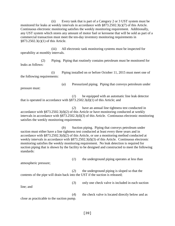(ii) Every tank that is part of a Category 2 or 3 UST system must be monitored for leaks at weekly intervals in accordance with §873.2502.3(c)(7) of this Article. Continuous electronic monitoring satisfies the weekly monitoring requirement. Additionally, any UST system which stores any amount of motor fuel or kerosene that will be sold as part of a commercial transaction must meet the ten-day inventory monitoring requirements in §873.2502.3(c)(1) of this Article.

(iii) All electronic tank monitoring systems must be inspected for operability at monthly intervals.

(2) Piping. Piping that routinely contains petroleum must be monitored for leaks as follows:

(i) Piping installed on or before October 11, 2015 must meet one of the following requirements:

pressure must:

(*a*) Pressurized piping. Piping that conveys petroleum under

(*1*) be equipped with an automatic line leak detector that is operated in accordance with §873.2502.3(d)(1) of this Article; and

(*2*) have an annual line tightness test conducted in accordance with §873.2502.3(d)(2) of this Article or have monitoring conducted at weekly intervals in accordance with §873.2502.3(d)(3) of this Article. Continuous electronic monitoring satisfies the weekly monitoring requirement.

(*b*) Suction piping. Piping that conveys petroleum under suction must either have a line tightness test conducted at least every three years and in accordance with §873.2502.3(d)(2) of this Article, or use a monitoring method conducted at weekly intervals in accordance with §873.2502.3(d)(3) of this Article. Continuous electronic monitoring satisfies the weekly monitoring requirement. No leak detection is required for suction piping that is shown by the facility to be designed and constructed to meet the following standards:

(*1*) the underground piping operates at less than

atmospheric pressure;

line; and

(*2*) the underground piping is sloped so that the contents of the pipe will drain back into the UST if the suction is released;

(*3*) only one check valve is included in each suction

(*4*) the check valve is located directly below and as close as practicable to the suction pump.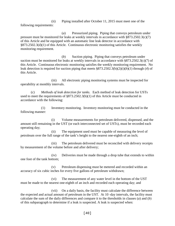(ii) Piping installed after October 11, 2015 must meet one of the following requirements:

(*a*) Pressurized piping. Piping that conveys petroleum under pressure must be monitored for leaks at weekly intervals in accordance with §873.2502.3(c)(7) of this Article and be equipped with an automatic line leak detector in accordance with §873.2502.3(d)(1) of this Article. Continuous electronic monitoring satisfies the weekly monitoring requirement.

(*b*) Suction piping. Piping that conveys petroleum under suction must be monitored for leaks at weekly intervals in accordance with §873.2502.3(c)(7) of this Article. Continuous electronic monitoring satisfies the weekly monitoring requirement. No leak detection is required for suction piping that meets §873.2502.3(b)(2)(i)(*b*)(*1*) through (*4*) of this Article.

(iii) All electronic piping monitoring systems must be inspected for operability at monthly intervals.

(c) *Methods of leak detection for tanks*. Each method of leak detection for USTs used to meet the requirements of §873.2502.3(b)(1) of this Article must be conducted in accordance with the following:

(1) Inventory monitoring. Inventory monitoring must be conducted in the following manner:

(i) Volume measurements for petroleum delivered, dispensed, and the amount still remaining in the UST (or each interconnected set of USTs), must be recorded each operating day;

(ii) The equipment used must be capable of measuring the level of petroleum over the full range of the tank's height to the nearest one-eighth of an inch;

(iii) The petroleum delivered must be reconciled with delivery receipts by measurement of the volume before and after delivery;

(iv) Deliveries must be made through a drop tube that extends to within one foot of the tank bottom;

(v) Petroleum dispensing must be metered and recorded within an accuracy of six cubic inches for every five gallons of petroleum withdrawn;

(vi) The measurement of any water level in the bottom of the UST must be made to the nearest one-eighth of an inch and recorded each operating day; and

(vii) On a daily basis, the facility must calculate the difference between the expected and actual amount of petroleum in the UST. At 10 -day intervals, the facility must calculate the sum of the daily differences and compare it to the thresholds in clauses (*a*) and (*b*) of this subparagraph to determine if a leak is suspected. A leak is suspected when: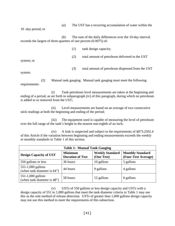(*a*) The UST has a recurring accumulation of water within the

10 -day period; or

(*b*) The sum of the daily differences over the 10-day interval exceeds the largest of three-quarters of one percent (0.0075) of:

(*1*) tank design capacity;

(*2*) total amount of petroleum delivered to the UST

system; or

(*3*) total amount of petroleum dispensed from the UST

system.

(2) Manual tank gauging. Manual tank gauging must meet the following requirements:

(i) Tank petroleum level measurements are taken at the beginning and ending of a period, as set forth in subparagraph (iv) of this paragraph, during which no petroleum is added to or removed from the UST;

(ii) Level measurements are based on an average of two consecutive stick readings at both the beginning and ending of the period;

(iii) The equipment used is capable of measuring the level of petroleum over the full range of the tank's height to the nearest one-eighth of an inch;

(iv) A leak is suspected and subject to the requirements of §873.2502.4 of this Article if the variation between beginning and ending measurements exceeds the weekly or monthly standards in Table 1 of this section.

| <b>Table 1: Manual Tank Gauging</b>              |                                           |                                      |                                                |  |  |  |
|--------------------------------------------------|-------------------------------------------|--------------------------------------|------------------------------------------------|--|--|--|
| <b>Design Capacity of UST</b>                    | <b>Minimum</b><br><b>Duration of Test</b> | <b>Weekly Standard</b><br>(One Test) | <b>Monthly Standard</b><br>(Four-Test Average) |  |  |  |
| 550 gallons or less                              | 36 hours                                  | 10 gallons                           | 5 gallons                                      |  |  |  |
| 551-1,000 gallons<br>(when tank diameter is 64") | 44 hours                                  | 9 gallons                            | 4 gallons                                      |  |  |  |
| 551-1,000 gallons<br>(when tank diameter is 48") | 58 hours                                  | 12 gallons                           | 6 gallons                                      |  |  |  |

(v) USTs of 550 gallons or less design capacity and USTs with a design capacity of 551 to 1,000 gallons that meet the tank diameter criteria in Table 1 may use this as the sole method of release detection. USTs of greater than 1,000 gallons design capacity may not use this method to meet the requirements of this subsection.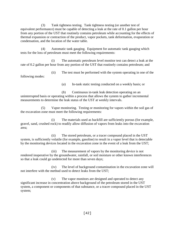(3) Tank tightness testing. Tank tightness testing (or another test of equivalent performance) must be capable of detecting a leak at the rate of 0.1 gallon per hour from any portion of the UST that routinely contains petroleum while accounting for the effects of thermal expansion or contraction of the product, vapor pockets, tank deformation, evaporation or condensation, and the location of the water table.

(4) Automatic tank gauging. Equipment for automatic tank gauging which tests for the loss of petroleum must meet the following requirements:

(i) The automatic petroleum level monitor test can detect a leak at the rate of 0.2 gallon per hour from any portion of the UST that routinely contains petroleum; and

(ii) The test must be performed with the system operating in one of the following modes:

(*a*) In-tank static testing conducted on a weekly basis; or

(*b*) Continuous in-tank leak detection operating on an uninterrupted basis or operating within a process that allows the system to gather incremental measurements to determine the leak status of the UST at weekly intervals.

(5) Vapor monitoring. Testing or monitoring for vapors within the soil gas of the excavation zone must meet the following requirements:

(i) The materials used as backfill are sufficiently porous (for example, gravel, sand, crushed rock) to readily allow diffusion of vapors from leaks into the excavation area;

(ii) The stored petroleum, or a tracer compound placed in the UST system, is sufficiently volatile (for example, gasoline) to result in a vapor level that is detectable by the monitoring devices located in the excavation zone in the event of a leak from the UST;

(iii) The measurement of vapors by the monitoring device is not rendered inoperative by the groundwater, rainfall, or soil moisture or other known interferences so that a leak could go undetected for more than seven days;

(iv) The level of background contamination in the excavation zone will not interfere with the method used to detect leaks from the UST;

(v) The vapor monitors are designed and operated to detect any significant increase in concentration above background of the petroleum stored in the UST system, a component or components of that substance, or a tracer compound placed in the UST system;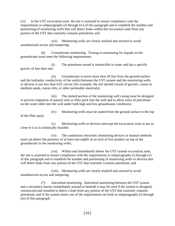(vi) In the UST excavation zone, the site is assessed to ensure compliance with the requirements in subparagraphs (i) through (iv) of this paragraph and to establish the number and positioning of monitoring wells that will detect leaks within the excavation zone from any portion of the UST that routinely contains petroleum; and

(vii) Monitoring wells are clearly marked and secured to avoid unauthorized access and tampering.

(6) Groundwater monitoring. Testing or monitoring for liquids on the groundwater must meet the following requirements:

(i) The petroleum stored is immiscible in water and has a specific gravity of less than one;

(ii) Groundwater is never more than 20 feet from the ground surface and the hydraulic conductivity of the soil(s) between the UST system and the monitoring wells or devices is not less than 0.01 cm/sec (for example, the soil should consist of gravels, coarse to medium sands, coarse silts, or other permeable materials);

(iii) The slotted portion of the monitoring well casing must be designed to prevent migration of natural soils or filter pack into the well and to allow entry of petroleum on the water table into the well under both high and low groundwater conditions;

(iv) Monitoring wells must be sealed from the ground surface to the top of the filter pack;

(v) Monitoring wells or devices intercept the excavation zone or are as close to it as is technically feasible;

(vi) The continuous electronic monitoring devices or manual methods used can detect the presence of at least one-eighth of an inch of free product on top of the groundwater in the monitoring wells;

(vii) Within and immediately below the UST system excavation zone, the site is assessed to ensure compliance with the requirements in subparagraphs (i) through (v) of this paragraph and to establish the number and positioning of monitoring wells or devices that will detect leaks from any portion of the UST that routinely contains petroleum; and

(viii) Monitoring wells are clearly marked and secured to avoid unauthorized access and tampering.

(7) Interstitial monitoring. Interstitial monitoring between the UST system and a secondary barrier immediately around or beneath it may be used if the system is designed, constructed and installed to detect a leak from any portion of the UST that routinely contains petroleum; and if the system meets one of the requirements set forth in subparagraphs (i) through (iii) of this paragraph.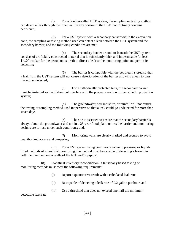(i) For a double-walled UST system, the sampling or testing method can detect a leak through the inner wall in any portion of the UST that routinely contains petroleum;

(ii) For a UST system with a secondary barrier within the excavation zone, the sampling or testing method used can detect a leak between the UST system and the secondary barrier, and the following conditions are met:

(*a*) The secondary barrier around or beneath the UST system consists of artificially constructed material that is sufficiently thick and impermeable (at least  $1\times10^{-6}$  cm/sec for the petroleum stored) to direct a leak to the monitoring point and permit its detection;

(*b*) The barrier is compatible with the petroleum stored so that a leak from the UST system will not cause a deterioration of the barrier allowing a leak to pass through undetected;

(*c*) For a cathodically protected tank, the secondary barrier must be installed so that it does not interfere with the proper operation of the cathodic protection system;

(*d*) The groundwater, soil moisture, or rainfall will not render the testing or sampling method used inoperative so that a leak could go undetected for more than seven days;

(*e*) The site is assessed to ensure that the secondary barrier is always above the groundwater and not in a 25-year flood plain, unless the barrier and monitoring designs are for use under such conditions; and,

(*f*) Monitoring wells are clearly marked and secured to avoid unauthorized access and tampering.

(iii) For a UST system using continuous vacuum, pressure, or liquidfilled methods of interstitial monitoring, the method must be capable of detecting a breach in both the inner and outer walls of the tank and/or piping.

(8) Statistical inventory reconciliation. Statistically based testing or monitoring methods must meet the following requirements:

(i) Report a quantitative result with a calculated leak rate;

(ii) Be capable of detecting a leak rate of 0.2 gallon per hour; and

(iii) Use a threshold that does not exceed one-half the minimum

detectible leak rate.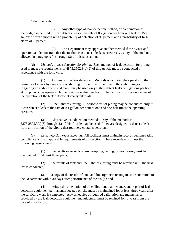(9) Other methods.

(i) Any other type of leak detection method, or combination of methods, can be used if it can detect a leak at the rate of 0.2 gallon per hour or a leak of 150 gallons within a month with a probability of detection of 95 percent and a probability of false alarm of 5 percent.

(ii) The Department may approve another method if the owner and operator can demonstrate that the method can detect a leak as effectively as any of the methods allowed in paragraphs (4) through (8) of this subsection.

(d) *Methods of leak detection for piping*. Each method of leak detection for piping used to meet the requirements of §873.2502.3(b)(2) of this Article must be conducted in accordance with the following:

(1) Automatic line leak detectors. Methods which alert the operator to the presence of a leak by restricting or shutting off the flow of petroleum through piping or triggering an audible or visual alarm may be used only if they detect leaks of 3 gallons per hour at 10 pounds per square inch line pressure within one hour. The facility must conduct a test of the operation of the leak detector at yearly intervals.

(2) Line tightness testing. A periodic test of piping may be conducted only if it can detect a leak at the rate of 0.1 gallon per hour at one and one-half times the operating pressure.

(3) Alternative leak detection methods. Any of the methods in §873.2502.3(c)(5) through (8) of this Article may be used if they are designed to detect a leak from any portion of the piping that routinely contains petroleum.

(e) *Leak detection recordkeeping*. All facilities must maintain records demonstrating compliance with all applicable requirements of this section. These records must meet the following requirements:

(1) the results or records of any sampling, testing, or monitoring must be maintained for at least three years;

(2) the results of tank and line tightness testing must be retained until the next test is conducted;

(3) a copy of the results of tank and line tightness testing must be submitted to the Department within 30 days after performance of the test(s); and

(4) written documentation of all calibration, maintenance, and repair of leak detection equipment permanently located on-site must be maintained for at least three years after the servicing work is completed. Any schedules of required calibration and maintenance provided by the leak detection equipment manufacturer must be retained for 3 years from the date of installation.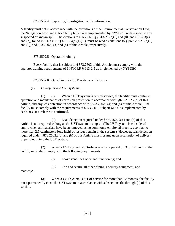873.2502.4 Reporting, investigation, and confirmation.

A facility must act in accordance with the provisions of the Environmental Conservation Law, the Navigation Law, and 6 NYCRR § 613-2.4 as implemented by NYSDEC with respect to any suspected or known spill. The citations to 6 NYCRR  $\S\S 613-2.3(c)(1)$  and  $(8)$ , and  $613-2.3(a)$ and (b), found in 6 NYCRR  $\S 613-2.4(a)(1)(iii)$ , must be read as citations to  $\S §873.2502.3(c)(1)$ and (8), and 873.2502.3(a) and (b) of this Article, respectively.

# 873.2502.5 Operator training

Every facility that is subject to § 873.2502 of this Article must comply with the operator training requirements of 6 NYCRR § 613-2.5 as implemented by NYSDEC.

# 873.2502.6 Out-of-service UST systems and closure

(a) *Out-of-service UST systems*.

(1) (i) When a UST system is out-of-service, the facility must continue operation and maintenance of corrosion protection in accordance with §873.2502.2(b) of this Article, and any leak detection in accordance with §873.2502.3(a) and (b) of this Article. The facility must comply with the requirements of 6 NYCRR Subpart 613-6 as implemented by NYSDEC if a release is confirmed.

(ii) Leak detection required under §873.2502.3(a) and (b) of this Article is not required as long as the UST system is empty. (The UST system is considered empty when all materials have been removed using commonly employed practices so that no more than 2.5 centimeters [one inch] of residue remain in the system.) However, leak detection required under §873.2502.3(a) and (b) of this Article must resume upon resumption of delivery of petroleum into the UST system.

(2) When a UST system is out-of-service for a period of 3 to 12 months, the facility must also comply with the following requirements:

- (i) Leave vent lines open and functioning; and
- (ii) Cap and secure all other piping, ancillary equipment, and

manways.

(3) When a UST system is out-of-service for more than 12 months, the facility must permanently close the UST system in accordance with subsections (b) through (e) of this section.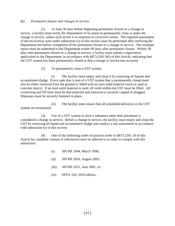## (b) *Permanent closure and changes in service*.

(1) At least 30 days before beginning permanent closure or a change in service, a facility must notify the Department of its intent to permanently close or make the change in service, unless such action is in response to corrective action. The required assessment of the excavation zone under subsection (c) of this section must be performed after notifying the Department but before completion of the permanent closure or a change in service. The resultant report must be submitted to the Department within 90 days after permanent closure. Within 30 days after permanent closure or a change in service, a facility must submit a registration application to the Department, in accordance with §873.2501.9(f) of this Article, indicating that the UST system has been permanently closed or that a change in service has occurred.

(2) To permanently close a UST system:

(i) The facility must empty and clean it by removing all liquids and accumulated sludge. Every tank that is part of a UST system that is permanently closed must also be either removed from the ground or filled with an inert solid material (such as sand or concrete slurry). If an inert solid material is used, all voids within the UST must be filled. All connecting and fill lines must be disconnected and removed or securely capped or plugged. Manways must be securely fastened in place.

(ii) The facility must ensure that all scheduled deliveries to the UST system are terminated.

(3) Use of a UST system to store a substance other than petroleum is considered a change in service. Before a change in service, the facility must empty and clean the UST by removing all liquid and accumulated sludge and conduct a site assessment in accordance with subsection (c) of this section.

(4) One of the following codes of practice (refer to §873.2501.10 of this Article for complete citation of references) must be adhered to in order to comply with this subsection:

- (i) API RP 1604, March 1996;
- (ii) API RP 2016, August 2001;
- (iii) API RP 1631, June 2001; or
- (iv) NFPA 326, 2010 edition.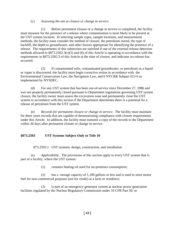### (c) *Assessing the site at closure or change in service*.

(1) Before permanent closure or a change in service is completed, the facility must measure for the presence of a release where contamination is most likely to be present at the UST system location. In selecting sample types, sample locations, and measurement methods, the facility must consider the method of closure, the petroleum stored, the type of backfill, the depth to groundwater, and other factors appropriate for identifying the presence of a release. The requirements of this subsection are satisfied if one of the external release detection methods allowed in §873.2502.3(c)(5) and (6) of this Article is operating in accordance with the requirements in §873.2502.3 of this Article at the time of closure, and indicates no release has occurred.

(2) If contaminated soils, contaminated groundwater, or petroleum as a liquid or vapor is discovered, the facility must begin corrective action in accordance with the Environmental Conservation Law, the Navigation Law, and 6 NYCRR Subpart 613-6 as implemented by NYSDEC.

(d) For any UST system that has been out-of-service since December 27, 1986 and was not properly permanently closed pursuant to Department regulations governing UST system closure, the facility owner must assess the excavation zone and permanently close the UST system in accordance with this section if the Department determines there is a potential for a release of petroleum from the UST system.

(e) *Records for permanent closure or change in service*. The facility must maintain for three years records that are capable of demonstrating compliance with closure requirements under this Article. In addition, the facility must transmit a copy of the records to the Department within 30 days after permanent closure or change in service.

# **§873.2503 UST Systems Subject Only to Title 10**

873.2503.1 UST systems: design, construction, and installation

(a) *Applicability*. The provisions of this section apply to every UST system that is part of a facility, where the UST system:

(1) contains heating oil used for on-premises consumption;

(2) has a storage capacity of 1,100 gallons or less and is used to store motor fuel for non-commercial purposes (not for resale) at a farm or residence;

(3) is part of an emergency generator system at nuclear power generation facilities regulated by the Nuclear Regulatory Commission under 10 CFR Part 50; or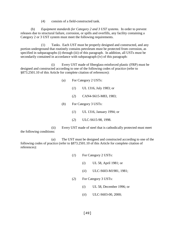(4) consists of a field-constructed tank.

(b) *Equipment standards for Category 2 and 3 UST systems*. In order to prevent releases due to structural failure, corrosion, or spills and overfills, any facility containing a Category 2 or 3 UST system must meet the following requirements.

(1) Tanks. Each UST must be properly designed and constructed, and any portion underground that routinely contains petroleum must be protected from corrosion, as specified in subparagraphs (i) through (iii) of this paragraph. In addition, all USTs must be secondarily contained in accordance with subparagraph (iv) of this paragraph:

(i) Every UST made of fiberglass-reinforced plastic (FRP) must be designed and constructed according to one of the following codes of practice (refer to §873.2501.10 of this Article for complete citation of references):

- (a) For Category 2 USTs:
	- (*1*) UL 1316, July 1983; or
	- (*2*) CAN4-S615-M83, 1983;
- (*b*) For Category 3 USTs:
	- (*1*) UL 1316, January 1994; or
	- (*2*) ULC-S615-98, 1998.

(ii) Every UST made of steel that is cathodically protected must meet the following conditions:

(*a*) The UST must be designed and constructed according to one of the following codes of practice (refer to §873.2501.10 of this Article for complete citation of references):

- (*1*) For Category 2 USTs:
	- (*i*) UL 58, April 1981; or
	- (*ii*) ULC-S603-M1981, 1981;
- (*2*) For Category 3 USTs:
	- (*i*) UL 58, December 1996; or
	- (*ii*) ULC-S603-00, 2000;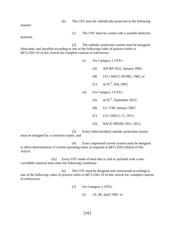| (b) |  |  | The UST must be cathodically protected in the following |
|-----|--|--|---------------------------------------------------------|
|     |  |  |                                                         |

manner:

(*1*) The UST must be coated with a suitable dielectric

material;

(*2*) The cathodic protection system must be designed, fabricated, and installed according to one of the following codes of practice (refer to §873.2501.10 of this Article for complete citation of references):

- (*i*) For Category 2 USTs:
	- (*A*) API RP 1632, January 1983;
	- (*B*) ULC-S603.1-M1982, 1982; or
	- $(C)$  sti- $P_3^{\circledR}$ , July 1983;
- (*ii*) For Category 3 USTs:
	- $(A)$  sti- $P_3^{\circledR}$ , September 2013;
	- (*B*) UL 1746, January 2007;
	- (*C*) ULC-S603.1-11, 2011;
	- (*D*) NACE SP0285-2011, 2011;

(*3*) Every field-installed cathodic protection system must be designed by a corrosion expert; and

(*4*) Every impressed current system must be designed to allow determination of current operating status as required in §873.2503.2(b)(3) of this Article.

(iii) Every UST made of steel that is clad or jacketed with a noncorrodible material must meet the following conditions:

(*a*) The UST must be designed and constructed according to one of the following codes of practice (refer to §873.2501.10 of this Article for complete citation of references):

- (*1*) For Category 2 USTs:
	- (*i*) UL 58, April 1981; or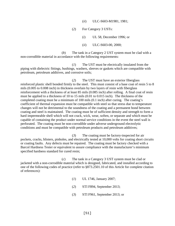- (*ii*) ULC-S603-M1981, 1981;
- (*2*) For Category 3 USTs:
	- (*i*) UL 58, December 1996; or
	- (*ii*) ULC-S603-00, 2000;

(*b*) The tank in a Category 2 UST system must be clad with a non-corrodible material in accordance with the following requirements:

(*1*) The UST must be electrically insulated from the piping with dielectric fittings, bushings, washers, sleeves or gaskets which are compatible with petroleum, petroleum additives, and corrosive soils;

(*2*) The UST must have an exterior fiberglass reinforced plastic shell bonded firmly to the steel. This must consist of a base coat of resin 5 to 8 mils (0.005 to 0.008 inch) in thickness overlain by two layers of resin with fiberglass reinforcement with a thickness of at least 85 mils (0.085 inch) after rolling. A final coat of resin must be applied to a thickness of 10 to 15 mils (0.01 to 0.015 inch). The thickness of the completed coating must be a minimum of 100 mils (0.1 inch) after curing. The coating's coefficient of thermal expansion must be compatible with steel so that stress due to temperature changes will not be detrimental to the soundness of the coating and a permanent bond between coating and steel is maintained. The coating must be of sufficient density and strength to form a hard impermeable shell which will not crack, wick, wear, soften, or separate and which must be capable of containing the product under normal service conditions in the event the steel wall is perforated. The coating must be non-corrodible under adverse underground electrolytic conditions and must be compatible with petroleum products and petroleum additives;

(*3*) The coating must be factory-inspected for air pockets, cracks, blisters, pinholes, and electrically tested at 10,000 volts for coating short circuits or coating faults. Any defects must be repaired. The coating must be factory checked with a Barcol Hardness Tester or equivalent to assure compliance with the manufacturer's minimum specified hardness standard for cured resin;

(*c*) The tank in a Category 3 UST system must be clad or jacketed with a non-corrodible material which is designed, fabricated, and installed according to one of the following codes of practice (refer to §873.2501.10 of this Article for complete citation of references):

- (*1*) UL 1746, January 2007;
- (*2*) STI F894, September 2013;
- (*3*) STI F961, September 2013; or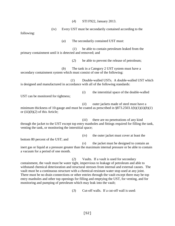(*4*) STI F922, January 2013.

(iv) Every UST must be secondarily contained according to the following: (*a*) The secondarily contained UST must: (*1*) be able to contain petroleum leaked from the primary containment until it is detected and removed; and (*2*) be able to prevent the release of petroleum; (*b*) The tank in a Category 2 UST system must have a secondary containment system which must consist of one of the following: (*1*) Double-walled USTs. A double-walled UST which is designed and manufactured in accordance with all of the following standards: (*i*) the interstitial space of the double-walled UST can be monitored for tightness; (*ii*) outer jackets made of steel must have a minimum thickness of 10-gauge and must be coated as prescribed in  $\S 873.2503.1(b)(1)(ii)(b)(1)$ or  $(iii)(b)(2)$  of this Article; (*iii*) there are no penetrations of any kind through the jacket to the UST except top entry manholes and fittings required for filling the tank, venting the tank, or monitoring the interstitial space; (*iv*) the outer jacket must cover at least the bottom 80 percent of the UST; and (*v*) the jacket must be designed to contain an inert gas or liquid at a pressure greater than the maximum internal pressure or be able to contain a vacuum for a period of one month. (*2*) Vaults. If a vault is used for secondary containment, the vault must be water tight, impervious to leakage of petroleum and able to withstand chemical deterioration and structural stresses from internal and external causes. The

vault must be a continuous structure with a chemical-resistant water stop used at any joint. There must be no drain connections or other entries through the vault except there may be top entry manholes and other top openings for filling and emptying the UST, for venting, and for monitoring and pumping of petroleum which may leak into the vault;

(*3*) Cut-off walls. If a cut-off wall is used: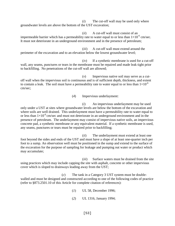(*i*) The cut-off wall may be used only where groundwater levels are above the bottom of the UST excavation;

(*ii*) A cut-off wall must consist of an impermeable barrier which has a permeability rate to water equal to or less than  $1\times10^{-6}$  cm/sec. It must not deteriorate in an underground environment and in the presence of petroleum;

(*iii*) A cut-off wall must extend around the perimeter of the excavation and to an elevation below the lowest groundwater level;

(*iv*) If a synthetic membrane is used for a cut-off wall, any seams, punctures or tears in the membrane must be repaired and made leak tight prior to backfilling. No penetrations of the cut-off wall are allowed;

(*v*) Impervious native soil may serve as a cutoff wall when the impervious soil is continuous and is of sufficient depth, thickness, and extent to contain a leak. The soil must have a permeability rate to water equal to or less than  $1\times10^{-6}$ cm/sec;

(*4*) Impervious underlayment:

(*i*) An impervious underlayment may be used only under a UST at sites where groundwater levels are below the bottom of the excavation and where soils are well drained. This underlayment must have a permeability rate to water equal to or less than  $1\times10^{-6}$  cm/sec and must not deteriorate in an underground environment and in the presence of petroleum. The underlayment may consist of impervious native soils, an impervious concrete pad, a synthetic membrane or any equivalent material. If a synthetic membrane is used, any seams, punctures or tears must be repaired prior to backfilling;

(*ii*) The underlayment must extend at least one foot beyond the sides and ends of the UST and must have a slope of at least one-quarter inch per foot to a sump. An observation well must be positioned in the sump and extend to the surface of the excavation for the purpose of sampling for leakage and pumping out water or product which may accumulate;

(*iii*) Surface waters must be drained from the site using practices which may include capping the site with asphalt, concrete or other impervious cover which is sloped to drainways leading away from the UST;

(*c*) The tank in a Category 3 UST system must be doublewalled and must be designed and constructed according to one of the following codes of practice (refer to §873.2501.10 of this Article for complete citation of references):

- (*1*) UL 58, December 1996;
- (*2*) UL 1316, January 1994;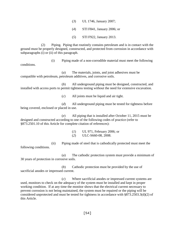- (*3*) UL 1746, January 2007;
- (*4*) STI F841, January 2006; or
- (*5*) STI F922, January 2013.

(2) Piping. Piping that routinely contains petroleum and is in contact with the ground must be properly designed, constructed, and protected from corrosion in accordance with subparagraphs (i) or (ii) of this paragraph.

(i) Piping made of a non-corrodible material must meet the following conditions.

(*a*) The materials, joints, and joint adhesives must be compatible with petroleum, petroleum additives, and corrosive soils.

(*b*) All underground piping must be designed, constructed, and installed with access ports to permit tightness testing without the need for extensive excavation.

(*c*) All joints must be liquid and air tight.

(*d*) All underground piping must be tested for tightness before being covered, enclosed or placed in use.

(*e*) All piping that is installed after October 11, 2015 must be designed and constructed according to one of the following codes of practice (refer to §873.2501.10 of this Article for complete citation of references):

- (*1*) UL 971, February 2006; or
- (*2*) ULC-S660-08, 2008.

(ii) Piping made of steel that is cathodically protected must meet the following conditions.

(*a*) The cathodic protection system must provide a minimum of 30 years of protection in corrosive soils.

(*b*) Cathodic protection must be provided by the use of sacrificial anodes or impressed current.

(*c*) Where sacrificial anodes or impressed current systems are used, monitors to check on the adequacy of the system must be installed and kept in proper working condition. If at any time the monitor shows that the electrical current necessary to prevent corrosion is not being maintained, the system must be repaired or the piping will be considered unprotected and must be tested for tightness in accordance with §873.2503.3(d)(2) of this Article.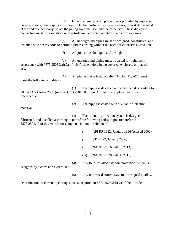(*d*) Except where cathodic protection is provided by impressed current, underground piping must have dielectric bushings, washers, sleeves, or gaskets installed at the end to electrically isolate the piping from the UST and the dispenser. These dielectric connectors must be compatible with petroleum, petroleum additives, and corrosive soils.

(*e*) All underground piping must be designed, constructed, and installed with access ports to permit tightness testing without the need for extensive excavation.

(*f*) All joints must be liquid and air tight.

(*g*) All underground piping must be tested for tightness in accordance with §873.2503.3(d)(2) of this Article before being covered, enclosed, or placed in use.

(*h*) All piping that is installed after October 11, 2015 must meet the following conditions:

(*1*) The piping is designed and constructed according to UL 971A, October 2006 (refer to §873.2501.10 of this Article for complete citation of references);

(*2*) The piping is coated with a suitable dielectric

material;

(*3*) The cathodic protection system is designed, fabricated, and installed according to one of the following codes of practice (refer to §873.2501.10 of this Article for complete citation of references):

- *(i)* API RP 1632, January 1996 (revised 2002);
- *(ii)* STI R892, January 2006;
- (*iii*) NACE SP0169-2013, 2013; or
- (i*v*) NACE SP0285-2011, 2011;

designed by a corrosion expert; and

(5) Any impressed current system is designed to allow

(*4*) Any field-installed cathodic protection system is

determination of current operating status as required in §873.2503.2(b)(2) of this Article.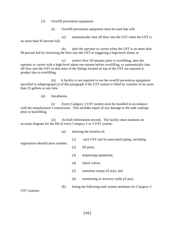- (3) Overfill prevention equipment.
	- (i) Overfill prevention equipment must be used that will:

(*a*) automatically shut off flow into the UST when the UST is no more than 95 percent full;

(*b*) alert the operator or carrier when the UST is no more than 90 percent full by restricting the flow into the UST or triggering a high-level alarm; or

(*c*) restrict flow 30 minutes prior to overfilling, alert the operator or carrier with a high-level alarm one minute before overfilling, or automatically shut off flow into the UST so that none of the fittings located on top of the UST are exposed to product due to overfilling.

(ii) A facility is not required to use the overfill prevention equipment specified in subparagraph (i) of this paragraph if the UST system is filled by transfers of no more than 25 gallons at one time.

(4) Installation.

(i) Every Category 3 UST system must be installed in accordance with the manufacturer's instructions. This includes repair of any damage to the tank coatings prior to backfilling.

(ii) As-built information records. The facility must maintain an accurate diagram for the life of every Category 2 or 3 UST system:

- (*a*) showing the location of:
	- (*1*) each UST and its associated piping, including

registration identification number;

- (*2*) fill ports;
- (*3*) dispensing equipment;
- (*4*) check valves;
- (*5*) transition sumps (if any); and
- (*6*) monitoring or recovery wells (if any).
- (*b*) listing the following tank system attributes for Category 3

UST systems: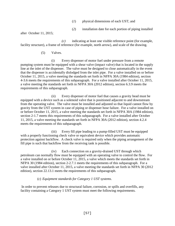- (*1*) physical dimensions of each UST; and
- (*2*) installation date for each portion of piping installed

after October 11, 2015;

*(c)* indicating at least one visible reference point (for example, facility structure), a frame of reference (for example, north arrow), and scale of the drawing.

### (5) Valves.

(i) Every dispenser of motor fuel under pressure from a remote pumping system must be equipped with a shear valve (impact valve) that is located in the supply line at the inlet of the dispenser. The valve must be designed to close automatically in the event that the dispenser is accidentally dislodged from the inlet pipe. For a valve installed on or before October 11, 2015, a valve meeting the standards set forth in NFPA 30A (1984 edition), section 4-3.6 meets the requirements of this subparagraph. For a valve installed after October 11, 2015, a valve meeting the standards set forth in NFPA 30A (2012 edition), section 6.3.9 meets the requirements of this subparagraph.

(ii) Every dispenser of motor fuel that causes a gravity head must be equipped with a device such as a solenoid valve that is positioned adjacent to and downstream from the operating valve. The valve must be installed and adjusted so that liquid cannot flow by gravity from the UST system in case of piping or dispenser hose failure. For a valve installed on or before October 11, 2015, a valve meeting the standards set forth in NFPA 30A (1984 edition), section 2-1.7 meets this requirements of this subparagraph. For a valve installed after October 11, 2015, a valve meeting the standards set forth in NFPA 30A (2012 edition), section 4.2.4 meets the requirements of this subparagraph.

(iii) Every fill pipe leading to a pump-filled UST must be equipped with a properly functioning check valve or equivalent device which provides automatic protection against backflow. A check valve is required only when the piping arrangement of the fill pipe is such that backflow from the receiving tank is possible.

(iv) Each connection on a gravity-drained UST through which petroleum can normally flow must be equipped with an operating valve to control the flow. For a valve installed on or before October 11, 2015, a valve which meets the standards set forth in NFPA 30 (1984 edition), section 2-2.7.1 meets the requirements of this subparagraph. For a valve installed after October 11, 2015, a valve meeting the standards set forth in NFPA 30 (2012 edition), section 22.13.1 meets the requirements of this subparagraph.

# (c) *Equipment standards for Category 1 UST systems*.

In order to prevent releases due to structural failure, corrosion, or spills and overfills, any facility containing a Category 1 UST system must meet the following requirements.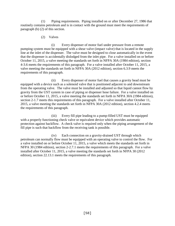(1) Piping requirements. Piping installed on or after December 27, 1986 that routinely contains petroleum and is in contact with the ground must meet the requirements of paragraph (b) (2) of this section.

### (2) Valves

(i) Every dispenser of motor fuel under pressure from a remote pumping system must be equipped with a shear valve (impact valve) that is located in the supply line at the inlet of the dispenser. The valve must be designed to close automatically in the event that the dispenser is accidentally dislodged from the inlet pipe. For a valve installed on or before October 11, 2015, a valve meeting the standards set forth in NFPA 30A (1984 edition), section 4-3.6 meets the requirements of this paragraph. For a valve installed after October 11, 2015, a valve meeting the standards set forth in NFPA 30A (2012 edition), section 6.3.9 meets the requirements of this paragraph.

(ii) Every dispenser of motor fuel that causes a gravity head must be equipped with a device such as a solenoid valve that is positioned adjacent to and downstream from the operating valve. The valve must be installed and adjusted so that liquid cannot flow by gravity from the UST system in case of piping or dispenser hose failure. For a valve installed on or before October 11, 2015, a valve meeting the standards set forth in NFPA 30A (1984 edition), section 2-1.7 meets this requirements of this paragraph. For a valve installed after October 11, 2015, a valve meeting the standards set forth in NFPA 30A (2012 edition), section 4.2.4 meets the requirements of this paragraph.

(iii) Every fill pipe leading to a pump-filled UST must be equipped with a properly functioning check valve or equivalent device which provides automatic protection against backflow. A check valve is required only when the piping arrangement of the fill pipe is such that backflow from the receiving tank is possible.

(iv) Each connection on a gravity-drained UST through which petroleum can normally flow must be equipped with an operating valve to control the flow. For a valve installed on or before October 11, 2015, a valve which meets the standards set forth in NFPA 30 (1984 edition), section 2-2.7.1 meets the requirements of this paragraph. For a valve installed after October 11, 2015, a valve meeting the standards set forth in NFPA 30 (2012 edition), section 22.13.1 meets the requirements of this paragraph.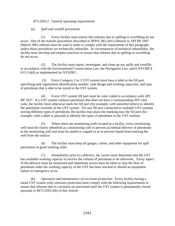## 873.2503.2 General operating requirements

## (a) *Spill and overfill prevention*.

(1) Every facility must ensure that releases due to spilling or overfilling do not occur. One of the transfer procedures described in NFPA 385 (2012 edition) or API RP 1007 (March 2001 edition) must be used in order to comply with the requirement of this paragraph, unless those procedures are technically infeasible. In circumstances of technical infeasibility, the facility must develop and employ practices to ensure that releases due to spilling or overfilling do not occur.

(2) The facility must report, investigate, and clean up any spills and overfills in accordance with the Environmental Conservation Law, the Navigation Law, and 6 NYCRR § 613-3.4(d) as implemented by NYSDEC.

(3) Every Category 2 or 3 UST system must have a label at the fill port specifying tank registration identification number, tank design and working capacities, and type of petroleum that is able to be stored in the UST system.

(4) Every UST system fill port must be color coded in accordance with API RP 1637. If a UST system contains petroleum that does not have a corresponding API color code, the facility must otherwise mark the fill port (for example, with stenciled letters) to identify the petroleum currently in the UST system. For any fill port connected to multiple UST systems storing different types of petroleum, the facility may place the marking near the fill port (for example, with a label or placard) to identify the types of petroleum in the UST systems.

(5) Where there are monitoring wells located at a facility, every monitoring well must be clearly identified as a monitoring well to prevent accidental delivery of petroleum to the monitoring well and must be sealed or capped so as to prevent liquid from entering the well from the surface.

(6) The facility must keep all gauges, valves, and other equipment for spill prevention in good working order.

(7) Immediately prior to a delivery, the carrier must determine that the UST has available working capacity to receive the volume of petroleum to be delivered. Every aspect of the delivery must be monitored and immediate action must be taken to stop the flow of petroleum when the working capacity of the UST has been reached or should an equipment failure or emergency occur.

(b) *Operation and maintenance of corrosion protection*. Every facility having a metal UST system with corrosion protection must comply with the following requirements to ensure that releases due to corrosion are prevented until the UST system is permanently closed pursuant to §873.2503.5(b) of this Article: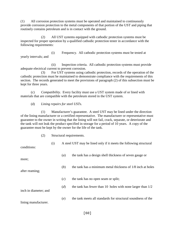(1) All corrosion protection systems must be operated and maintained to continuously provide corrosion protection to the metal components of that portion of the UST and piping that routinely contains petroleum and is in contact with the ground.

(2) All UST systems equipped with cathodic protection systems must be inspected for proper operation by a qualified cathodic protection tester in accordance with the following requirements:

(i) Frequency. All cathodic protection systems must be tested at yearly intervals; and

(ii) Inspection criteria. All cathodic protection systems must provide adequate electrical current to prevent corrosion.

(3) For UST systems using cathodic protection, records of the operation of the cathodic protection must be maintained to demonstrate compliance with the requirements of this section. The records generated to meet the provisions of paragraph (2) of this subsection must be kept for three years.

(c) *Compatibility*. Every facility must use a UST system made of or lined with materials that are compatible with the petroleum stored in the UST system.

(d) *Lining repairs for steel USTs*.

(1) Manufacturer's guarantee. A steel UST may be lined under the direction of the lining manufacturer or a certified representative. The manufacturer or representative must guarantee to the owner in writing that the lining will not fail, crack, separate, or deteriorate and the tank will not leak the product specified in storage for a period of 10 years. A copy of the guarantee must be kept by the owner for the life of the tank.

(2) Structural requirements.

| conditions:           | (i) |     | A steel UST may be lined only if it meets the following structural |
|-----------------------|-----|-----|--------------------------------------------------------------------|
| more;                 |     | (a) | the tank has a design shell thickness of seven gauge or            |
| after reaming;        |     | (b) | the tank has a minimum metal thickness of 1/8 inch at holes        |
|                       |     | (c) | the tank has no open seam or split;                                |
| inch in diameter; and |     | (d) | the tank has fewer than 10 holes with none larger than $1/2$       |
| lining manufacturer.  |     | (e) | the tank meets all standards for structural soundness of the       |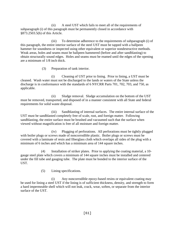(ii) A steel UST which fails to meet all of the requirements of subparagraph (i) of this paragraph must be permanently closed in accordance with §873.2503.5(b) of this Article.

(iii) To determine adherence to the requirements of subparagraph (i) of this paragraph, the entire interior surface of the steel UST must be tapped with a ballpeen hammer for soundness or inspected using other equivalent or superior nondestructive methods. Weak areas, holes and seams must be ballpeen hammered (before and after sandblasting) to obtain structurally sound edges. Holes and seams must be reamed until the edges of the opening are a minimum of 1/8 inch thick.

(3) Preparation of tank interior.

(i) Cleaning of UST prior to lining. Prior to lining, a UST must be cleaned. Wash water must not be discharged to the lands or waters of the State unless the discharge is in conformance with the standards of 6 NYCRR Parts 701, 702, 703, and 750, as applicable.

(ii) Sludge removal. Sludge accumulation on the bottom of the UST must be removed, transported, and disposed of in a manner consistent with all State and federal requirements for solid waste disposal.

(iii) Sandblasting of internal surfaces. The entire internal surface of the UST must be sandblasted completely free of scale, rust, and foreign matter. Following sandblasting, the entire surface must be brushed and vacuumed such that the surface when viewed without magnification is free of all moisture and foreign matter.

(iv) Plugging of perforations. All perforations must be tightly plugged with boiler plugs or screws made of noncorrodible plastic. Boiler plugs or screws must be covered with a laminate of resin and fiberglass cloth which overlaps all sides of the plug with a minimum of 6 inches and which has a minimum area of 144 square inches.

(4) Installation of striker plates. Prior to applying the coating material, a 10 gauge steel plate which covers a minimum of 144 square inches must be installed and centered under the fill tube and gauging tube. The plate must be bonded to the interior surface of the UST.

(5) Lining specifications.

(i) Any noncorrodible epoxy-based resins or equivalent coating may be used for lining a steel UST if the lining is of sufficient thickness, density, and strength to form a hard impermeable shell which will not leak, crack, wear, soften, or separate from the interior surface of the UST.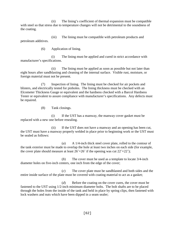(ii) The lining's coefficient of thermal expansion must be compatible with steel so that stress due to temperature changes will not be detrimental to the soundness of the coating.

(iii) The lining must be compatible with petroleum products and petroleum additives.

(6) Application of lining.

(i) The lining must be applied and cured in strict accordance with manufacturer's specifications.

(ii) The lining must be applied as soon as possible but not later than eight hours after sandblasting and cleaning of the internal surface. Visible rust, moisture, or foreign material must not be present.

(7) Inspection of lining. The lining must be checked for air pockets and blisters, and electrically tested for pinholes. The lining thickness must be checked with an Elcometer Thickness Gauge or equivalent and the hardness checked with a Barcol Hardness Tester or equivalent to assure compliance with manufacturer's specifications. Any defects must be repaired.

(8) Tank closings.

(i) If the UST has a manway, the manway cover gasket must be replaced with a new one before resealing.

(ii) If the UST does not have a manway and an opening has been cut, the UST must have a manway properly welded in place prior to beginning work or the UST must be sealed as follows:

(*a*) A 1/4-inch thick steel cover plate, rolled to the contour of the tank exterior must be made to overlap the hole at least two inches on each side (for example, the cover plate should measure at least  $26 \times 26'$  if the opening was cut  $22 \times 22'$ ;

(*b*) The cover must be used as a template to locate 3/4-inch diameter holes on five-inch centers, one inch from the edge of the cover;

(*c*) The cover plate must be sandblasted and both sides and the entire inside surface of the plate must be covered with coating material to act as a gasket;

(*d*) Before the coating on the cover cures, the cover must be fastened to the UST using 1/2-inch minimum diameter bolts. The bolt shafts are to be placed through the holes from the inside of the tank and held in place by spring clips, then fastened with lock washers and nuts which have been dipped in a seam sealer;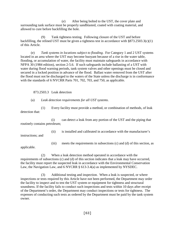(*e*) After being bolted to the UST, the cover plate and surrounding tank surface must be properly sandblasted, coated with coating material, and allowed to cure before backfilling the hole.

(9) Tank tightness testing. Following closure of the UST and before backfilling, the relined UST must be given a tightness test in accordance with §873.2503.3(c)(1) of this Article.

(e) *Tank systems in locations subject to flooding*. For Category 1 and 2 UST systems located in an area where the UST may become buoyant because of a rise in the water table, flooding, or accumulation of water, the facility must maintain safeguards in accordance with NFPA 30 (1984 edition), section 2-5.6. If such safeguards include ballasting of a UST with water during flood warning periods, tank system valves and other openings must be closed and secured in a locked position in advance of the flood. Ballast water removed from the UST after the flood must not be discharged to the waters of the State unless the discharge is in conformance with the standards of 6 NYCRR Parts 701, 702, 703, and 750, as applicable.

#### 873.2503.3 Leak detection

#### (a) *Leak detection requirements for all UST systems*.

(1) Every facility must provide a method, or combination of methods, of leak detection that:

(i) can detect a leak from any portion of the UST and the piping that routinely contains petroleum;

(ii) is installed and calibrated in accordance with the manufacturer's

instructions; and

(iii) meets the requirements in subsections (c) and (d) of this section, as

applicable.

(2) When a leak detection method operated in accordance with the requirements of subsections (c) and (d) of this section indicates that a leak may have occurred, the facility must report the suspected leak in accordance with the Environmental Conservation Law, the Navigation Law, and 6 NYCRR § 613-3.4(a) as implemented by NYSDEC.

(3) Additional testing and inspection. When a leak is suspected, or where inspections or tests required by this Article have not been performed, the Department may order the facility to inspect and to test the UST system or equipment for tightness and structural soundness. If the facility fails to conduct such inspections and tests within 10 days after receipt of the Department's order, the Department may conduct inspections or tests for tightness. The expenses of conducting such tests as ordered by the Department must be paid by the tank system owner.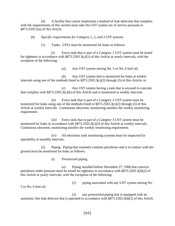(4) A facility that cannot implement a method of leak detection that complies with the requirements of this section must take the UST system out of service pursuant to §873.2503.5(a) of this Article.

(b) *Specific requirements for Category 1, 2, and 3 UST systems*.

(1) Tanks. USTs must be monitored for leaks as follows:

(i) Every tank that is part of a Category 1 UST system must be tested for tightness in accordance with §873.2503.3(c)(1) of this Article at yearly intervals, with the exception of the following:

(*a*) Any UST system storing No. 5 or No. 6 fuel oil;

(*b*) Any UST system that is monitored for leaks at weekly intervals using one of the methods listed in §873.2503.3(c)(2) through (5) of this Article; or

(*c*) Any UST system having a tank that is encased in concrete that complies with §873.2503.3(c)(6) of this Article and is monitored at weekly intervals.

(ii) Every tank that is part of a Category 2 UST system must be monitored for leaks using one of the methods listed in §873.2503.3(c)(2) through (5) of this Article at weekly intervals. Continuous electronic monitoring satisfies the weekly monitoring requirement.

(iii) Every tank that is part of a Category 3 UST system must be monitored for leaks in accordance with §873.2503.3(c)(5) of this Article at weekly intervals. Continuous electronic monitoring satisfies the weekly monitoring requirement.

(iv) All electronic tank monitoring systems must be inspected for operability at monthly intervals.

(2) Piping. Piping that routinely contains petroleum and is in contact with the ground must be monitored for leaks as follows:

(i) Pressurized piping.

(*a*) Piping installed before December 27, 1986 that conveys petroleum under pressure must be tested for tightness in accordance with §873.2503.3(d)(2) of this Article at yearly intervals, with the exception of the following:

(*1*) piping associated with any UST system storing No.

5 or No. 6 fuel oil;

(*2*) any pressurized piping that is equipped with an automatic line leak detector that is operated in accordance with §873.2503.3(d)(1) of this Article.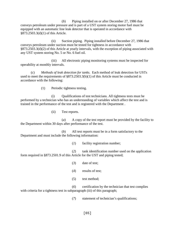(*b*) Piping installed on or after December 27, 1986 that conveys petroleum under pressure and is part of a UST system storing motor fuel must be equipped with an automatic line leak detector that is operated in accordance with §873.2503.3(d)(1) of this Article.

(ii) Suction piping. Piping installed before December 27, 1986 that conveys petroleum under suction must be tested for tightness in accordance with §873.2503.3(d)(2) of this Article at yearly intervals, with the exception of piping associated with any UST system storing No. 5 or No. 6 fuel oil.

(iii) All electronic piping monitoring systems must be inspected for operability at monthly intervals.

(c) *Methods of leak detection for tanks*. Each method of leak detection for USTs used to meet the requirements of §873.2503.3(b)(1) of this Article must be conducted in accordance with the following:

(1) Periodic tightness testing.

(i) Qualifications of test technicians. All tightness tests must be performed by a technician who has an understanding of variables which affect the test and is trained in the performance of the test and is registered with the Department .

(ii) Test reports.

(*a*) A copy of the test report must be provided by the facility to the Department within 30 days after performance of the test.

(*b*) All test reports must be in a form satisfactory to the Department and must include the following information:

(*1*) facility registration number;

(*2*) tank identification number used on the application form required in §873.2501.9 of this Article for the UST and piping tested;

- (*3*) date of test;
- (*4*) results of test;
- (5) test method;

(*6*) certification by the technician that test complies with criteria for a tightness test in subparagraph (iii) of this paragraph;

(*7*) statement of technician's qualifications;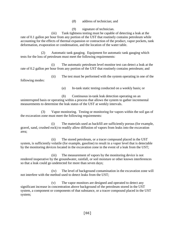(*8*) address of technician; and

(*9*) signature of technician.

(iii) Tank tightness testing must be capable of detecting a leak at the rate of 0.1 gallon per hour from any portion of the UST that routinely contains petroleum while accounting for the effects of thermal expansion or contraction of the product, vapor pockets, tank deformation, evaporation or condensation, and the location of the water table.

(2) Automatic tank gauging. Equipment for automatic tank gauging which tests for the loss of petroleum must meet the following requirements:

(i) The automatic petroleum level monitor test can detect a leak at the rate of 0.2 gallon per hour from any portion of the UST that routinely contains petroleum; and

(ii) The test must be performed with the system operating in one of the following modes:

(*a*) In-tank static testing conducted on a weekly basis; or

(*b*) Continuous in-tank leak detection operating on an uninterrupted basis or operating within a process that allows the system to gather incremental measurements to determine the leak status of the UST at weekly intervals.

(3) Vapor monitoring. Testing or monitoring for vapors within the soil gas of the excavation zone must meet the following requirements:

(i) The materials used as backfill are sufficiently porous (for example, gravel, sand, crushed rock) to readily allow diffusion of vapors from leaks into the excavation area;

(ii) The stored petroleum, or a tracer compound placed in the UST system, is sufficiently volatile (for example, gasoline) to result in a vapor level that is detectable by the monitoring devices located in the excavation zone in the event of a leak from the UST;

(iii) The measurement of vapors by the monitoring device is not rendered inoperative by the groundwater, rainfall, or soil moisture or other known interferences so that a leak could go undetected for more than seven days;

(iv) The level of background contamination in the excavation zone will not interfere with the method used to detect leaks from the UST;

(v) The vapor monitors are designed and operated to detect any significant increase in concentration above background of the petroleum stored in the UST system, a component or components of that substance, or a tracer compound placed in the UST system;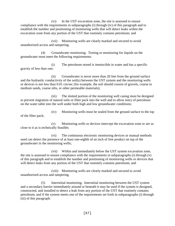(vi) In the UST excavation zone, the site is assessed to ensure compliance with the requirements in subparagraphs (i) through (iv) of this paragraph and to establish the number and positioning of monitoring wells that will detect leaks within the excavation zone from any portion of the UST that routinely contains petroleum; and

(vii) Monitoring wells are clearly marked and secured to avoid unauthorized access and tampering.

(4) Groundwater monitoring. Testing or monitoring for liquids on the groundwater must meet the following requirements:

(i) The petroleum stored is immiscible in water and has a specific gravity of less than one;

(ii) Groundwater is never more than 20 feet from the ground surface and the hydraulic conductivity of the soil(s) between the UST system and the monitoring wells or devices is not less than 0.01 cm/sec (for example, the soil should consist of gravels, coarse to medium sands, coarse silts, or other permeable materials);

(iii) The slotted portion of the monitoring well casing must be designed to prevent migration of natural soils or filter pack into the well and to allow entry of petroleum on the water table into the well under both high and low groundwater conditions;

(iv) Monitoring wells must be sealed from the ground surface to the top of the filter pack;

(v) Monitoring wells or devices intercept the excavation zone or are as close to it as is technically feasible;

(vi) The continuous electronic monitoring devices or manual methods used can detect the presence of at least one-eighth of an inch of free product on top of the groundwater in the monitoring wells;

(vii) Within and immediately below the UST system excavation zone, the site is assessed to ensure compliance with the requirements in subparagraphs (i) through (v) of this paragraph and to establish the number and positioning of monitoring wells or devices that will detect leaks from any portion of the UST that routinely contains petroleum; and

(viii) Monitoring wells are clearly marked and secured to avoid unauthorized access and tampering.

(5) Interstitial monitoring. Interstitial monitoring between the UST system and a secondary barrier immediately around or beneath it may be used if the system is designed, constructed, and installed to detect a leak from any portion of the UST that routinely contains petroleum; and if the system meets one of the requirements set forth in subparagraphs (i) through (iii) of this paragraph: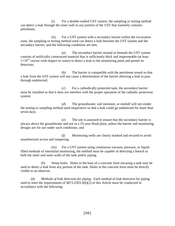(i) For a double-walled UST system, the sampling or testing method can detect a leak through the inner wall in any portion of the UST that routinely contains petroleum;

(ii) For a UST system with a secondary barrier within the excavation zone, the sampling or testing method used can detect a leak between the UST system and the secondary barrier, and the following conditions are met;

(*a*) The secondary barrier around or beneath the UST system consists of artificially constructed material that is sufficiently thick and impermeable (at least  $1\times10^{-6}$  cm/sec with respect to water) to direct a leak to the monitoring point and permit its detection;

(*b*) The barrier is compatible with the petroleum stored so that a leak from the UST system will not cause a deterioration of the barrier allowing a leak to pass through undetected;

(*c*) For a cathodically protected tank, the secondary barrier must be installed so that it does not interfere with the proper operation of the cathodic protection system;

(*d*) The groundwater, soil moisture, or rainfall will not render the testing or sampling method used inoperative so that a leak could go undetected for more than seven days;

(*e*) The site is assessed to ensure that the secondary barrier is always above the groundwater and not in a 25-year flood plain, unless the barrier and monitoring designs are for use under such conditions; and

(*f*) Monitoring wells are clearly marked and secured to avoid unauthorized access and tampering.

(iii) For a UST system using continuous vacuum, pressure, or liquidfilled methods of interstitial monitoring, the method must be capable of detecting a breach in both the inner and outer walls of the tank and/or piping.

(6) Weep holes. Holes in the base of a concrete form encasing a tank may be used to detect a leak from any portion of the tank. Holes in the concrete form must be directly visible to an observer.

(d) *Methods of leak detection for piping*. Each method of leak detection for piping used to meet the requirements of §873.2503.3(b)(2) of this Article must be conducted in accordance with the following: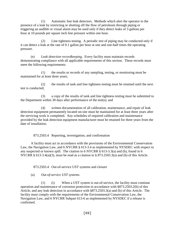(1) Automatic line leak detectors. Methods which alert the operator to the presence of a leak by restricting or shutting off the flow of petroleum through piping or triggering an audible or visual alarm may be used only if they detect leaks of 3 gallons per hour at 10 pounds per square inch line pressure within one hour.

(2) Line tightness testing. A periodic test of piping may be conducted only if it can detect a leak at the rate of 0.1 gallon per hour at one and one-half times the operating pressure.

(e) *Leak detection recordkeeping*. Every facility must maintain records demonstrating compliance with all applicable requirements of this section. These records must meet the following requirements:

(1) the results or records of any sampling, testing, or monitoring must be maintained for at least three years;

(2) the results of tank and line tightness testing must be retained until the next test is conducted;

(3) a copy of the results of tank and line tightness testing must be submitted to the Department within 30 days after performance of the test(s); and

(4) written documentation of all calibration, maintenance, and repair of leak detection equipment permanently located on-site must be maintained for at least three years after the servicing work is completed. Any schedules of required calibration and maintenance provided by the leak detection equipment manufacturer must be retained for three years from the date of installation.

873.2503.4 Reporting, investigation, and confirmation

A facility must act in accordance with the provisions of the Environmental Conservation Law, the Navigation Law, and 6 NYCRR § 613-3.4 as implemented by NYSDEC with respect to any suspected or known spill. The citation to 6 NYCRR § 613-3.3(a) and (b), found in 6 NYCRR § 613-3.4(a)(3), must be read as a citation to § 873.2503.3(a) and (b) of this Article.

873.2503.4 Out-of-service UST systems and closure

(a) *Out-of-service UST systems*.

(1) (i) When a UST system is out-of-service, the facility must continue operation and maintenance of corrosion protection in accordance with §873.2503.2(b) of this Article, and any leak detection in accordance with §873.2503.3(a) and (b) of this Article. The facility must comply with the requirements of the Environmental Conservation Law, the Navigation Law, and 6 NYCRR Subpart 613-6 as implemented by NYSDEC if a release is confirmed.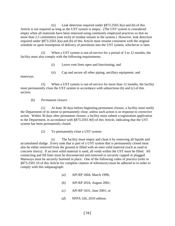(ii) Leak detection required under §873.2503.3(a) and (b) of this Article is not required as long as the UST system is empty. (The UST system is considered empty when all materials have been removed using commonly employed practices so that no more than 2.5 centimeters (one inch) of residue remain in the system.) However, leak detection required under §873.2503.3(a) and (b) of this Article must resume consistent with the original schedule or upon resumption of delivery of petroleum into the UST system, whichever is later.

(2) When a UST system is out-of-service for a period of 3 to 12 months, the facility must also comply with the following requirements:

(i) Leave vent lines open and functioning; and

(ii) Cap and secure all other piping, ancillary equipment, and

manways.

(3) When a UST system is out-of-service for more than 12 months, the facility must permanently close the UST system in accordance with subsections (b) and (c) of this section.

# (b) *Permanent closure*.

(1) At least 30 days before beginning permanent closure, a facility must notify the Department of its intent to permanently close, unless such action is in response to corrective action. Within 30 days after permanent closure, a facility must submit a registration application to the Department, in accordance with §873.2501.9(f) of this Article, indicating that the UST system has been permanently closed.

(2) To permanently close a UST system:

(i) The facility must empty and clean it by removing all liquids and accumulated sludge. Every tank that is part of a UST system that is permanently closed must also be either removed from the ground or filled with an inert solid material (such as sand or concrete slurry). If an inert solid material is used, all voids within the UST must be filled. All connecting and fill lines must be disconnected and removed or securely capped or plugged. Manways must be securely fastened in place. One of the following codes of practice (refer to §873.2501.10 of this Article for complete citation of references) must be adhered to in order to comply with this subparagraph:

- (*a*) API RP 1604, March 1996;
- (*b*) API RP 2016, August 2001;
- (*c*) API RP 1631, June 2001; or
- (*d*) NFPA 326, 2010 edition.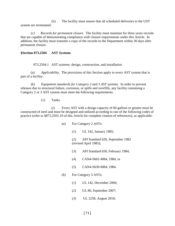(ii) The facility must ensure that all scheduled deliveries to the UST system are terminated.

*(c) Records for permanent closure*. The facility must maintain for three years records that are capable of demonstrating compliance with closure requirements under this Article. In addition, the facility must transmit a copy of the records to the Department within 30 days after permanent closure.

#### **§Section 873.2504 AST Systems**

873.2504.1 AST systems: design, construction, and installation

(a) *Applicability*. The provisions of this Section apply to every AST system that is part of a facility.

(b) *Equipment standards for Category 2 and 3 AST systems*. In order to prevent releases due to structural failure, corrosion, or spills and overfills, any facility containing a Category 2 or 3 AST system must meet the following requirements.

(1) Tanks.

(i) Every AST with a design capacity of 60 gallons or greater must be constructed of steel and must be designed and utilized according to one of the following codes of practice (refer to §873.2501.10 of this Article for complete citation of references), as applicable:

- (*a*) For Category 2 ASTs:
	- (*1*) UL 142, January 1985;

(*2*) API Standard 620, September 1982 (revised April 1985);

- (*3*) API Standard 650, February 1984;
- (*4*) CAN4-S601-M84, 1984; or
- (*5*) CAN4-S630-M84, 1984.
- (*b*) For Category 3 ASTs:
	- (*1*) UL 142, December 2006;
	- (*2*) UL 80, September 2007;
	- (*3*) UL 2258, August 2010;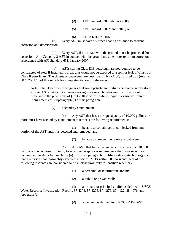- (*4*) API Standard 620, February 2008;
- (*5*) API Standard 650, March 2013; or

(*6*) ULC-S601-07, 2007.

(ii) Every AST must have a surface coating designed to prevent corrosion and deterioration.

(iii) Every AST, if in contact with the ground, must be protected from corrosion. Any Category 3 AST in contact with the ground must be protected from corrosion in accordance with API Standard 651, January 2007.

(iv) ASTs storing Class IIIB petroleum are not required to be constructed of steel if installed in areas that would not be exposed to a spill or leak of Class I or Class II petroleum. The classes of petroleum are described in NFPA 30, 2012 edition (refer to §873.2501.10 of this Article for complete citation of references).

Note: The Department recognizes that some petroleum mixtures cannot be safely stored in steel ASTs. A facility owner seeking to store such petroleum mixtures should, pursuant to the provisions of §873.2501.8 of this Article, request a variance from the requirements of subparagraph (i) of this paragraph.

(v) Secondary containment.

(*a*) Any AST that has a design capacity of 10,000 gallons or more must have secondary containment that meets the following requirements:

(*1*) be able to contain petroleum leaked from any portion of the AST until it is detected and removed; and

(*2*) be able to prevent the release of petroleum.

(*b*) Any AST that has a design capacity of less than 10,000 gallons and is in close proximity to sensitive receptors is required to either have secondary containment as described in clause (*a*) of this subparagraph or utilize a design/technology such that a release is not reasonably expected to occur. ASTs within 500 horizontal feet of the following resources are considered to be in close proximity to sensitive receptors:

(*1*) a perennial or intermittent stream;

(*2*) a public or private well;

(*3*) a primary or principal aquifer as defined in USGS Water Resource Investigation Reports 87-4274, 87-4275, 87-4276, 87-4122, 88-4076, and Appendix C;

(*4*) a wetland as defined in 6 NYCRR Part 664

[72]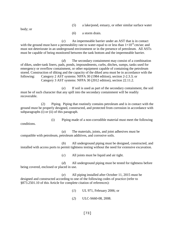|--|

body; or

(*6*) a storm drain.

(*c*) An impermeable barrier under an AST that is in contact with the ground must have a permeability rate to water equal to or less than  $1\times10^{-6}$  cm/sec and must not deteriorate in an underground environment or in the presence of petroleum. All ASTs must be capable of being monitored between the tank bottom and the impermeable barrier.

(*d*) The secondary containment may consist of a combination of dikes, under-tank liners, pads, ponds, impoundments, curbs, ditches, sumps, tanks used for emergency or overflow containment, or other equipment capable of containing the petroleum stored. Construction of diking and the capacity of the diked area must be in accordance with the following: Category 2 AST systems: NFPA 30 (1984 edition), section 2-2.3.3; or Category 3 AST systems: NFPA 30 (2012 edition), section 22.11.2.

(*e*) If soil is used as part of the secondary containment, the soil must be of such character that any spill into the secondary containment will be readily recoverable.

(2) Piping. Piping that routinely contains petroleum and is in contact with the ground must be properly designed, constructed, and protected from corrosion in accordance with subparagraphs (i) or (ii) of this paragraph.

conditions.

(i) Piping made of a non-corrodible material must meet the following

(*a*) The materials, joints, and joint adhesives must be compatible with petroleum, petroleum additives, and corrosive soils.

(*b*) All underground piping must be designed, constructed, and installed with access ports to permit tightness testing without the need for extensive excavation.

(*c*) All joints must be liquid and air tight.

(*d*) All underground piping must be tested for tightness before being covered, enclosed or placed in use.

(*e*) All piping installed after October 11, 2015 must be designed and constructed according to one of the following codes of practice (refer to §873.2501.10 of this Article for complete citation of references):

- (*1*) UL 971, February 2006; or
- (*2*) ULC-S660-08, 2008.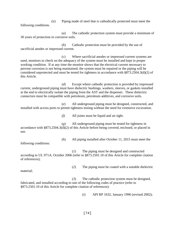(ii) Piping made of steel that is cathodically protected must meet the following conditions.

(*a*) The cathodic protection system must provide a minimum of 30 years of protection in corrosive soils.

(*b*) Cathodic protection must be provided by the use of sacrificial anodes or impressed current.

(*c*) Where sacrificial anodes or impressed current systems are used, monitors to check on the adequacy of the system must be installed and kept in proper working condition. If at any time the monitor shows that the electrical current necessary to prevent corrosion is not being maintained, the system must be repaired or the piping will be considered unprotected and must be tested for tightness in accordance with §873.2504.3(d)(2) of this Article.

(*d*) Except where cathodic protection is provided by impressed current, underground piping must have dielectric bushings, washers, sleeves, or gaskets installed at the end to electrically isolate the piping from the AST and the dispenser. These dielectric connectors must be compatible with petroleum, petroleum additives, and corrosive soils.

(*e*) All underground piping must be designed, constructed, and installed with access ports to permit tightness testing without the need for extensive excavation.

(*f*) All joints must be liquid and air tight.

(*g*) All underground piping must be tested for tightness in accordance with §873.2504.3(d)(2) of this Article before being covered, enclosed, or placed in use.

(*h*) All piping installed after October 11, 2015 must meet the

following conditions:

(*1*) The piping must be designed and constructed according to UL 971A, October 2006 (refer to §873.2501.10 of this Article for complete citation of references);

(*2*) The piping must be coated with a suitable dielectric

(*3*) The cathodic protection system must be designed, fabricated, and installed according to one of the following codes of practice (refer to §873.2501.10 of this Article for complete citation of references):

(*i*) API RP 1632, January 1996 (revised 2002);

material;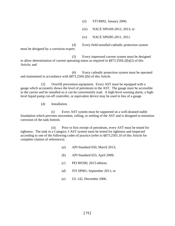(*ii*) STI R892, January 2006;

(*iii*) NACE SP0169-2013, 2013; or

(*iv*) NACE SP0285-2011, 2011.

(*4*) Every field-installed cathodic protection system must be designed by a corrosion expert;

(*5*) Every impressed current system must be designed to allow determination of current operating status as required in §873.2504.2(b)(2) of this Article; and

(*6*) Every cathodic protection system must be operated and maintained in accordance with §873.2504.2(b) of this Article.

(3) Overfill prevention equipment. Every AST must be equipped with a gauge which accurately shows the level of petroleum in the AST. The gauge must be accessible to the carrier and be installed so it can be conveniently read. A high-level warning alarm, a highlevel liquid pump cut-off controller, or equivalent device may be used in lieu of a gauge.

(4) Installation.

(i) Every AST system must be supported on a well-drained stable foundation which prevents movement, rolling, or settling of the AST and is designed to minimize corrosion of the tank bottom.

(ii) Prior to first receipt of petroleum, every AST must be tested for tightness. The tank in a Category 3 AST system must be tested for tightness and inspected according to one of the following codes of practice (refer to §873.2501.10 of this Article for complete citation of references):

- (*a*) API Standard 650, March 2013;
- (*b*) API Standard 653, April 2009;
- (*c*) PEI RP200, 2013 edition;
- (*d*) STI SP001, September 2011; or
- (*e*) UL 142, December 2006.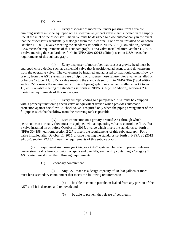#### (5) Valves.

(i) Every dispenser of motor fuel under pressure from a remote pumping system must be equipped with a shear valve (impact valve) that is located in the supply line at the inlet of the dispenser. The valve must be designed to close automatically in the event that the dispenser is accidentally dislodged from the inlet pipe. For a valve installed on or before October 11, 2015, a valve meeting the standards set forth in NFPA 30A (1984 edition), section 4-3.6 meets the requirements of this subparagraph. For a valve installed after October 11, 2015, a valve meeting the standards set forth in NFPA 30A (2012 edition), section 6.3.9 meets the requirements of this subparagraph.

(ii) Every dispenser of motor fuel that causes a gravity head must be equipped with a device such as a solenoid valve that is positioned adjacent to and downstream from the operating valve. The valve must be installed and adjusted so that liquid cannot flow by gravity from the AST system in case of piping or dispenser hose failure. For a valve installed on or before October 11, 2015, a valve meeting the standards set forth in NFPA 30A (1984 edition), section 2-1.7 meets the requirements of this subparagraph. For a valve installed after October 11, 2015, a valve meeting the standards set forth in NFPA 30A (2012 edition), section 4.2.4 meets the requirements of this subparagraph.

(iii) Every fill pipe leading to a pump-filled AST must be equipped with a properly functioning check valve or equivalent device which provides automatic protection against backflow. A check valve is required only when the piping arrangement of the fill pipe is such that backflow from the receiving tank is possible.

(iv) Each connection on a gravity-drained AST through which petroleum can normally flow must be equipped with an operating valve to control the flow. For a valve installed on or before October 11, 2015, a valve which meets the standards set forth in NFPA 30 (1984 edition), section 2-2.7.1 meets the requirements of this subparagraph. For a valve installed after October 11, 2015, a valve meeting the standards set forth in NFPA 30 (2012 edition), section 22.13.1 meets the requirements of this subparagraph.

(c) *Equipment standards for Category 1 AST systems*. In order to prevent releases due to structural failure, corrosion, or spills and overfills, any facility containing a Category 1 AST system must meet the following requirements.

(1) Secondary containment.

(i) Any AST that has a design capacity of 10,000 gallons or more must have secondary containment that meets the following requirements:

(*a*) be able to contain petroleum leaked from any portion of the AST until it is detected and removed; and

(*b*) be able to prevent the release of petroleum.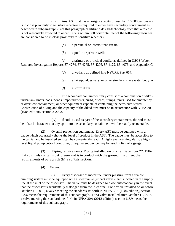(ii) Any AST that has a design capacity of less than 10,000 gallons and is in close proximity to sensitive receptors is required to either have secondary containment as described in subparagraph (i) of this paragraph or utilize a design/technology such that a release is not reasonably expected to occur. ASTs within 500 horizontal feet of the following resources are considered to be in close proximity to sensitive receptors:

- (*a*) a perennial or intermittent stream;
- (*b*) a public or private well;

(*c*) a primary or principal aquifer as defined in USGS Water Resource Investigation Reports 87-4274, 87-4275, 87-4276, 87-4122, 88-4076, and Appendix C;

- (*d*) a wetland as defined in 6 NYCRR Part 664;
- (*e*) a lake/pond, estuary, or other similar surface water body; or
- (*f*) a storm drain.

(iii) The secondary containment may consist of a combination of dikes, under-tank liners, pads, ponds, impoundments, curbs, ditches, sumps, tanks used for emergency or overflow containment, or other equipment capable of containing the petroleum stored. Construction of diking and the capacity of the diked area must be in accordance with NFPA 30 (1984 edition), section 2-2.3.3.

(iv) If soil is used as part of the secondary containment, the soil must be of such character that any spill into the secondary containment will be readily recoverable.

(2) Overfill prevention equipment. Every AST must be equipped with a gauge which accurately shows the level of product in the AST. The gauge must be accessible to the carrier and be installed so it can be conveniently read. A high-level warning alarm, a highlevel liquid pump cut-off controller, or equivalent device may be used in lieu of a gauge.

(3) Piping requirements. Piping installed on or after December 27, 1986 that routinely contains petroleum and is in contact with the ground must meet the requirements of paragraph (b)(2) of this section.

(4) Valves.

(i) Every dispenser of motor fuel under pressure from a remote pumping system must be equipped with a shear valve (impact valve) that is located in the supply line at the inlet of the dispenser. The valve must be designed to close automatically in the event that the dispenser is accidentally dislodged from the inlet pipe. For a valve installed on or before October 11, 2015, a valve meeting the standards set forth in NFPA 30A (1984 edition), section 4-3.6 meets the requirements of this subparagraph. For a valve installed after October 11, 2015, a valve meeting the standards set forth in NFPA 30A (2012 edition), section 6.3.9 meets the requirements of this subparagraph.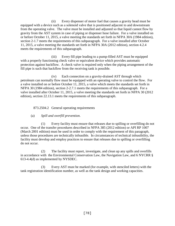(ii) Every dispenser of motor fuel that causes a gravity head must be equipped with a device such as a solenoid valve that is positioned adjacent to and downstream from the operating valve. The valve must be installed and adjusted so that liquid cannot flow by gravity from the AST system in case of piping or dispenser hose failure. For a valve installed on or before October 11, 2015, a valve meeting the standards set forth in NFPA 30A (1984 edition), section 2-1.7 meets the requirements of this subparagraph. For a valve installed after October 11, 2015, a valve meeting the standards set forth in NFPA 30A (2012 edition), section 4.2.4 meets the requirements of this subparagraph.

(iii) Every fill pipe leading to a pump-filled AST must be equipped with a properly functioning check valve or equivalent device which provides automatic protection against backflow. A check valve is required only when the piping arrangement of the fill pipe is such that backflow from the receiving tank is possible.

(iv) Each connection on a gravity-drained AST through which petroleum can normally flow must be equipped with an operating valve to control the flow. For a valve installed on or before October 11, 2015, a valve which meets the standards set forth in NFPA 30 (1984 edition), section 2-2.7.1 meets the requirements of this subparagraph. For a valve installed after October 11, 2015, a valve meeting the standards set forth in NFPA 30 (2012 edition), section 22.13.1 meets the requirements of this subparagraph.

873.2504.2 General operating requirements

(a) *Spill and overfill prevention*.

(1) Every facility must ensure that releases due to spilling or overfilling do not occur. One of the transfer procedures described in NFPA 385 (2012 edition) or API RP 1007 (March 2001 edition) must be used in order to comply with the requirement of this paragraph, unless those procedures are technically infeasible. In circumstances of technical infeasibility, the facility must develop and employ practices to ensure that releases due to spilling or overfilling do not occur.

(2) The facility must report, investigate, and clean up any spills and overfills in accordance with the Environmental Conservation Law, the Navigation Law, and 6 NYCRR § 613-4.4(d) as implemented by NYSDEC.

(3) Every AST must be marked (for example, with stenciled letters) with the tank registration identification number, as well as the tank design and working capacities.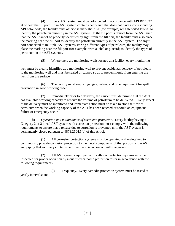(4) Every AST system must be color coded in accordance with API RP 1637 at or near the fill port. If an AST system contains petroleum that does not have a corresponding API color code, the facility must otherwise mark the AST (for example, with stenciled letters) to identify the petroleum currently in the AST system. If the fill port is remote from the AST such that the AST cannot be properly identified by sight from the fill port, the facility must also place the marking near the fill port to identify the petroleum currently in the AST system. For any fill port connected to multiple AST systems storing different types of petroleum, the facility may place the marking near the fill port (for example, with a label or placard) to identify the types of petroleum in the AST systems.

(5) Where there are monitoring wells located at a facility, every monitoring

well must be clearly identified as a monitoring well to prevent accidental delivery of petroleum to the monitoring well and must be sealed or capped so as to prevent liquid from entering the well from the surface.

(6) The facility must keep all gauges, valves, and other equipment for spill prevention in good working order.

(7) Immediately prior to a delivery, the carrier must determine that the AST has available working capacity to receive the volume of petroleum to be delivered. Every aspect of the delivery must be monitored and immediate action must be taken to stop the flow of petroleum when the working capacity of the AST has been reached or should an equipment failure or emergency occur.

(b) *Operation and maintenance of corrosion protection*. Every facility having a Category 2 or 3 metal AST system with corrosion protection must comply with the following requirements to ensure that a release due to corrosion is prevented until the AST system is permanently closed pursuant to §873.2504.5(b) of this Article:

(1) All corrosion protection systems must be operated and maintained to continuously provide corrosion protection to the metal components of that portion of the AST and piping that routinely contains petroleum and is in contact with the ground.

All AST systems equipped with cathodic protection systems must be inspected for proper operation by a qualified cathodic protection tester in accordance with the following requirements:

(i) Frequency. Every cathodic protection system must be tested at yearly intervals; and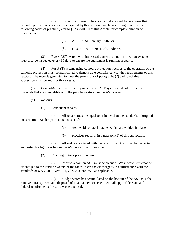(ii) Inspection criteria. The criteria that are used to determine that cathodic protection is adequate as required by this section must be according to one of the following codes of practice (refer to §873.2501.10 of this Article for complete citation of references):

(*a*) API RP 651, January, 2007; or

(*b*) NACE RP0193-2001, 2001 edition.

(3) Every AST system with impressed current cathodic protection systems must also be inspected every 60 days to ensure the equipment is running properly.

(4) For AST systems using cathodic protection, records of the operation of the cathodic protection must be maintained to demonstrate compliance with the requirements of this section. The records generated to meet the provisions of paragraphs (2) and (3) of this subsection must be kept for three years.

(c) *Compatibility*. Every facility must use an AST system made of or lined with materials that are compatible with the petroleum stored in the AST system.

(d) *Repairs*.

(1) Permanent repairs.

(i) All repairs must be equal to or better than the standards of original construction. Such repairs must consist of:

- (*a*) steel welds or steel patches which are welded in place; or
- (*b*) practices set forth in paragraph (3) of this subsection.

(ii) All welds associated with the repair of an AST must be inspected and tested for tightness before the AST is returned to service.

(2) Cleaning of tank prior to repair.

(i) Prior to repair, an AST must be cleaned. Wash water must not be discharged to the lands or waters of the State unless the discharge is in conformance with the standards of 6 NYCRR Parts 701, 702, 703, and 750, as applicable.

(ii) Sludge which has accumulated on the bottom of the AST must be removed, transported, and disposed of in a manner consistent with all applicable State and federal requirements for solid waste disposal.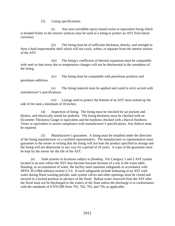(3) Lining specifications.

(i) Any non-corrodible epoxy-based resins or equivalent lining which is bonded firmly to the interior surfaces may be used as a lining to protect an AST from future corrosion.

(ii) The lining must be of sufficient thickness, density, and strength to form a hard impermeable shell which will not crack, soften, or separate from the interior surface of the AST.

(iii) The lining's coefficient of thermal expansion must be compatible with steel so that stress due to temperature changes will not be detrimental to the soundness of the lining.

(iv) The lining must be compatible with petroleum products and petroleum additives.

(v) The lining material must be applied and cured in strict accord with manufacturer's specifications.

(vi) Linings used to protect the bottom of an AST must extend up the side of the tank a minimum of 18 inches.

(4) Inspection of lining. The lining must be checked for air pockets and blisters, and electrically tested for pinholes. The lining thickness must be checked with an Elcometer Thickness Gauge or equivalent and the hardness checked with a Barcol Hardness Tester or equivalent to assure compliance with manufacturer's specifications. Any defects must be repaired.

(5) Manufacturer's guarantee. A lining must be installed under the direction of the lining manufacturer or a certified representative. The manufacturer or representative must guarantee to the owner in writing that the lining will not leak the product specified in storage and the lining will not deteriorate in any way for a period of 10 years. A copy of the guarantee must be kept by the owner for the life of the AST.

(e) *Tank systems in locations subject to flooding*. For Category 1 and 2 AST system located in an area where the AST may become buoyant because of a rise in the water table, flooding, or accumulation of water, the facility must maintain safeguards in accordance with NFPA 30 (1984 edition) section 2-5.6. If such safeguards include ballasting of an AST with water during flood warning periods, tank system valves and other openings must be closed and secured in a locked position in advance of the flood. Ballast water removed from the AST after the flood must not be discharged to the waters of the State unless the discharge is in conformance with the standards of 6 NYCRR Parts 701, 702, 703, and 750, as applicable.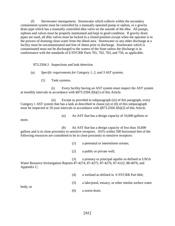(f) *Stormwater management*. Stormwater which collects within the secondary containment system must be controlled by a manually operated pump or siphon, or a gravity drain pipe which has a manually controlled dike valve on the outside of the dike. All pumps, siphons and valves must be properly maintained and kept in good condition. If gravity drain pipes are used, all dike valves must be locked in a closed position except when the operator is in the process of draining clean water from the diked area. Stormwater or any other discharge at a facility must be uncontaminated and free of sheen prior to discharge. Stormwater which is contaminated must not be discharged to the waters of the State unless the discharge is in conformance with the standards of 6 NYCRR Parts 701, 702, 703, and 750, as applicable.

873.2504.3 Inspections and leak detection

(a) *Specific requirements for Category 1, 2, and 3 AST systems*.

(1) Tank systems.

(i) Every facility having an AST system must inspect the AST system at monthly intervals in accordance with §873.2504.3(b)(1) of this Article.

(ii) Except as provided in subparagraph (iii) of this paragraph, every Category 1 AST system that has a tank as described in clause (*a*) or (*b*) of this subparagraph must be inspected at 10-year intervals in accordance with §873.2504.3(b)(2) of this Article.

(*a*) An AST that has a design capacity of 10,000 gallons or

more.

(*b*) An AST that has a design capacity of less than 10,000 gallons and is in close proximity to sensitive receptors. ASTs within 500 horizontal feet of the following resources are considered to be in close proximity to sensitive receptors:

- (*1*) a perennial or intermittent stream;
- (*2*) a public or private well;

(*3*) a primary or principal aquifer as defined in USGS Water Resource Investigation Reports 87-4274, 87-4275, 87-4276, 87-4122, 88-4076, and Appendix C;

- (*4*) a wetland as defined in 6 NYCRR Part 664;
- (*5*) a lake/pond, estuary, or other similar surface water

body; or

(*6*) a storm drain.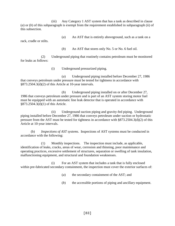(iii) Any Category 1 AST system that has a tank as described in clause (*a*) or (*b*) of this subparagraph is exempt from the requirement established in subparagraph (ii) of this subsection.

(*a*) An AST that is entirely aboveground, such as a tank on a

rack, cradle or stilts.

(*b*) An AST that stores only No. 5 or No. 6 fuel oil.

(2) Underground piping that routinely contains petroleum must be monitored for leaks as follows:

(i) Underground pressurized piping.

(*a*) Underground piping installed before December 27, 1986 that conveys petroleum under pressure must be tested for tightness in accordance with §873.2504.3(d)(2) of this Article at 10-year intervals.

(*b*) Underground piping installed on or after December 27, 1986 that conveys petroleum under pressure and is part of an AST system storing motor fuel must be equipped with an automatic line leak detector that is operated in accordance with §873.2504.3(d)(1) of this Article.

(ii) Underground suction piping and gravity-fed piping. Underground piping installed before December 27, 1986 that conveys petroleum under suction or hydrostatic pressure from the AST must be tested for tightness in accordance with §873.2504.3(d)(2) of this Article at 10-year intervals.

(b) *Inspections of AST systems*. Inspections of AST systems must be conducted in accordance with the following:

(1) Monthly inspections. The inspection must include, as applicable, identification of leaks, cracks, areas of wear, corrosion and thinning, poor maintenance and operating practices, excessive settlement of structures, separation or swelling of tank insulation, malfunctioning equipment, and structural and foundation weaknesses.

(i) For an AST system that includes a tank that is fully enclosed within pre-fabricated secondary containment, the inspection must cover the exterior surfaces of:

(*a*) the secondary containment of the AST; and

(*b*) the accessible portions of piping and ancillary equipment.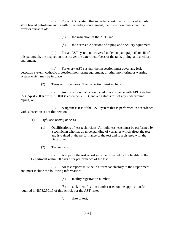(ii) For an AST system that includes a tank that is insulated in order to store heated petroleum and is within secondary containment, the inspection must cover the exterior surfaces of:

- (*a*) the insulation of the AST; and
- (*b*) the accessible portions of piping and ancillary equipment.

(iii) For an AST system not covered under subparagraph (i) or (ii) of this paragraph*,* the inspection must cover the exterior surfaces of the tank, piping, and ancillary equipment.

(iv) For every AST system, the inspection must cover any leak detection system, cathodic protection monitoring equipment, or other monitoring or warning system which may be in place.

(2) Ten-year inspections. The inspection must include:

(i) An inspection that is conducted in accordance with API Standard 653 (April 2009) or STI SP001 (September 2011), and a tightness test of any underground piping; or

(ii) A tightness test of the AST system that is performed in accordance with subsection (c) of this section.

- (c) *Tightness testing of ASTs*.
	- (1) Qualifications of test technicians. All tightness tests must be performed by a technician who has an understanding of variables which affect the test and is trained in the performance of the test and is registered with the Department.
	- (2) Test reports.

(i) A copy of the test report must be provided by the facility to the Department within 30 days after performance of the test.

(ii) All test reports must be in a form satisfactory to the Department and must include the following information:

(*a*) facility registration number;

(*b*) tank identification number used on the application form required in §873.2501.9 of this Article for the AST tested;

(*c*) date of test;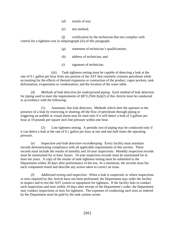- (*d*) results of test;
- (*e*) test method;

(*f*) certification by the technician that test complies with criteria for a tightness test in subparagraph (iii) of this paragraph;

- (*g*) statement of technician's qualifications;
- (*h*) address of technician; and
- (*i*) signature of technician.

(iii) Tank tightness testing must be capable of detecting a leak at the rate of 0.1 gallon per hour from any portion of the AST that routinely contains petroleum while accounting for the effects of thermal expansion or contraction of the product, vapor pockets, tank deformation, evaporation or condensation, and the location of the water table.

(d) *Methods of leak detection for underground piping*. Each method of leak detection for piping used to meet the requirements of §873.2504.3(a)(2) of this Article must be conducted in accordance with the following:

(1) Automatic line leak detectors. Methods which alert the operator to the presence of a leak by restricting or shutting off the flow of petroleum through piping or triggering an audible or visual alarm may be used only if it will detect a leak of 3 gallons per hour at 10 pounds per square inch line pressure within one hour.

(2) Line tightness testing. A periodic test of piping may be conducted only if it can detect a leak at the rate of 0.1 gallon per hour at one and one-half times the operating pressure.

(e) *Inspection and leak detection recordkeeping*. Every facility must maintain records demonstrating compliance with all applicable requirements of this section. These records must include the results of monthly and 10-year inspections. Monthly inspection records must be maintained for at least 3years. 10-year inspection records must be maintained for at least ten years. A copy of the results of tank tightness testing must be submitted to the Department within 30 days after performance of the test. At a minimum, the records must list each component tested and describe any action taken to correct an issue.

(f) *Additional testing and inspection*. When a leak is suspected, or where inspections or tests required by this Article have not been performed, the Department may order the facility to inspect and to test the AST system or equipment for tightness. If the facility fails to conduct such inspections and tests within 10 days after receipt of the Department's order, the Department may conduct inspections or tests for tightness. The expenses of conducting such tests as ordered by the Department must be paid by the tank system owner.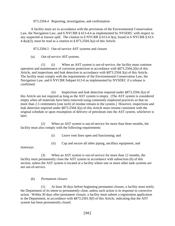#### 873.2504.4 Reporting, investigation, and confirmation

A facility must act in accordance with the provisions of the Environmental Conservation Law, the Navigation Law, and 6 NYCRR § 613-4.4 as implemented by NYSDEC with respect to any suspected or known spill. The citation to 6 NYCRR § 613-4.3(a), found in 6 NYCRR § 613- 4.4(a)(3), must be read as a citation to  $\S 873.2504.3$ (a) of this Article.

873.2504.5 Out-of-service AST systems and closure

(a) *Out-of-service AST systems*.

(1) (i) When an AST system is out-of-service, the facility must continue operation and maintenance of corrosion protection in accordance with §873.2504.2(b) of this Article, and inspections and leak detection in accordance with §873.2504.3(a) of this Article. The facility must comply with the requirements of the Environmental Conservation Law, the Navigation Law, and 6 NYCRR Subpart 613-6 as implemented by NYSDEC if a release is confirmed.

(ii) Inspections and leak detection required under §873.2504.3(a) of this Article are not required as long as the AST system is empty. (The AST system is considered empty when all materials have been removed using commonly employed practices so that no more than 2.5 centimeters [one inch] of residue remain in the system.) However, inspections and leak detection required under §873.2504.3(a) of this Article must resume consistent with the original schedule or upon resumption of delivery of petroleum into the AST system, whichever is later.

(2) When an AST system is out-of-service for more than three months, the facility must also comply with the following requirements:

(i) Leave vent lines open and functioning; and

(ii) Cap and secure all other piping, ancillary equipment, and

manways.

(3) When an AST system is out-of-service for more than 12 months, the facility must permanently close the AST system in accordance with subsection (b) of this section, unless the AST system is located at a facility where one or more other tank systems are not out-of-service.

# (b) *Permanent closure*.

(1) At least 30 days before beginning permanent closure, a facility must notify the Department of its intent to permanently close, unless such action is in response to corrective action. Within 30 days after permanent closure, a facility must submit a registration application to the Department, in accordance with §873.2501.9(f) of this Article, indicating that the AST system has been permanently closed.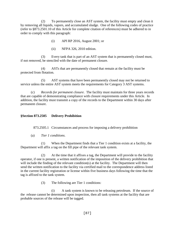(2) To permanently close an AST system, the facility must empty and clean it by removing all liquids, vapors, and accumulated sludge. One of the following codes of practice (refer to §873.2501.10 of this Article for complete citation of references) must be adhered to in order to comply with this paragraph:

- (i) API RP 2016, August 2001; or
- (ii) NFPA 326, 2010 edition.

(3) Every tank that is part of an AST system that is permanently closed must, if not removed, be stenciled with the date of permanent closure.

(4) ASTs that are permanently closed that remain at the facility must be protected from flotation.

(5) AST systems that have been permanently closed may not be returned to service unless the entire AST system meets the requirements for Category 3 AST systems.

(c) *Records for permanent closure*. The facility must maintain for three years records that are capable of demonstrating compliance with closure requirements under this Article. In addition, the facility must transmit a copy of the records to the Department within 30 days after permanent closure.

# **§Section 873.2505 Delivery Prohibition**

873.2505.1 Circumstances and process for imposing a delivery prohibition

(a) *Tier 1 conditions*.

(1) When the Department finds that a Tier 1 condition exists at a facility, the Department will affix a tag on the fill pipe of the relevant tank system.

(2) At the time that it affixes a tag, the Department will provide to the facility operator, if one is present, a written notification of the imposition of the delivery prohibition that will include the finding of the relevant condition(s) at the facility. The Department will then send the written notification to the facility via certified mail to the correspondence address listed in the current facility registration or license within five business days following the time that the tag is affixed to the tank system.

(3) The following are Tier 1 conditions:

(i) A tank system is known to be releasing petroleum. If the source of the release cannot be determined upon inspection, then all tank systems at the facility that are probable sources of the release will be tagged.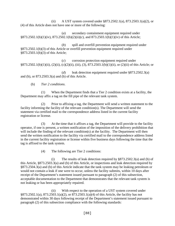(ii) A UST system covered under §873.2502.1(a), 873.2503.1(a)(2), or (4) of this Article does not have one or more of the following:

(*a*) secondary containment equipment required under §873.2502.1(b)(1)(iv), 873.2502.1(b)(2)(ii)(*c*), and 873.2503.1(b)(1)(iv) of this Article;

(*b*) spill and overfill prevention equipment required under §873.2502.1(b)(3) of this Article or overfill prevention equipment required under §873.2503.1(b)(3) of this Article;

(*c*) corrosion protection equipment required under §873.2502.1(b)(1)(ii), (2)(ii), (c)(2)(ii), (iii), (3), 873.2503.1(b)(1)(ii), or (2)(ii) of this Article; or

(*d*) leak detection equipment required under §873.2502.3(a) and (b), or 873.2503.3(a) and (b) of this Article.

(b) *Tier 2 conditions*.

(1) When the Department finds that a Tier 2 condition exists at a facility, the Department may affix a tag on the fill pipe of the relevant tank system.

(2) Prior to affixing a tag, the Department will send a written statement to the facility informing the facility of the relevant condition(s). The Department will send the statement via certified mail to the correspondence address listed in the current facility registration or license.

(3) At the time that it affixes a tag, the Department will provide to the facility operator, if one is present, a written notification of the imposition of the delivery prohibition that will include the finding of the relevant condition(s) at the facility. The Department will then send the written notification to the facility via certified mail to the correspondence address listed in the current facility registration or license within five business days following the time that the tag is affixed to the tank system.

(4) The following are Tier 2 conditions:

(i) The results of leak detection required by  $\S 873.2502.3(a)$  and (b) of this Article, §873.2503.3(a) and (b) of this Article, or inspections and leak detection required by §873.2504.3(a) and (b) of this Article indicate that the tank system may be leaking petroleum or would not contain a leak if one were to occur, unless the facility submits, within 10 days after receipt of the Department's statement issued pursuant to paragraph (2) of this subsection, acceptable documentation to the Department that demonstrates that the relevant tank system is not leaking or has been appropriately repaired.

(ii) With respect to the operation of a UST system covered under §873.2502.1(a), 873.2503.1(a)(2), or 873.2503.1(a)(4) of this Article, the facility has not demonstrated within 30 days following receipt of the Department's statement issued pursuant to paragraph (2) of this subsection compliance with the following standards: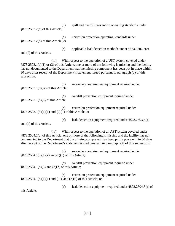(*a*) spill and overfill prevention operating standards under

§873.2502.2(a) of this Article;

(*b*) corrosion protection operating standards under §873.2502.2(b) of this Article; or

and (d) of this Article.

(*c*) applicable leak detection methods under §873.2502.3(c)

(iii) With respect to the operation of a UST system covered under §873.2503.1(a)(1) or (3) of this Article, one or more of the following is missing and the facility has not documented to the Department that the missing component has been put in place within 30 days after receipt of the Department's statement issued pursuant to paragraph (2) of this subsection:

| (a)<br>§873.2503.1(b)(iv) of this Article;                         | secondary containment equipment required under |
|--------------------------------------------------------------------|------------------------------------------------|
| ( <i>b</i> )<br>§873.2503.1(b)(3) of this Article;                 | overfill prevention equipment required under   |
| (c)<br>$\S 873.2503.1(b)(1)(ii)$ and $(2)(ii)$ of this Article; or | corrosion protection equipment required under  |

(*d*) leak detection equipment required under §873.2503.3(a)

and (b) of this Article.

(iv) With respect to the operation of an AST system covered under §873.2504.1(a) of this Article, one or more of the following is missing and the facility has not documented to the Department that the missing component has been put in place within 30 days after receipt of the Department's statement issued pursuant to paragraph (2) of this subsection:

(*a*) secondary containment equipment required under §873.2504.1(b)(1)(v) and (c)(1) of this Article;

(*b*) overfill prevention equipment required under §873.2504.1(b)(3) and (c)(2) of this Article;

(*c*) corrosion protection equipment required under §873.2504.1(b)(1)(ii) and (iii), and (2)(ii) of this Article; or

(*d*) leak detection equipment required under §873.2504.3(a) of this Article.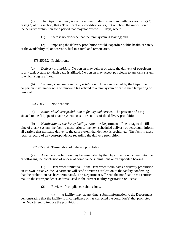(c) The Department may issue the written finding, consistent with paragraphs (a)(2) or (b)(3) of this section, that a Tier 1 or Tier 2 condition exists, but withhold the imposition of the delivery prohibition for a period that may not exceed 180 days, where:

(1) there is no evidence that the tank system is leaking; and

(2) imposing the delivery prohibition would jeopardize public health or safety or the availability of, or access to, fuel in a rural and remote area.

873.2505.2 Prohibitions.

(a) *Delivery prohibition*. No person may deliver or cause the delivery of petroleum to any tank system to which a tag is affixed. No person may accept petroleum to any tank system to which a tag is affixed.

(b) *Tag tampering and removal prohibition*. Unless authorized by the Department, no person may tamper with or remove a tag affixed to a tank system or cause such tampering or removal.

873.2505.3 Notifications.

(a) *Notice of delivery prohibition to facility and carrier*. The presence of a tag affixed to the fill pipe of a tank system constitutes notice of the delivery prohibition.

(b) *Notification to carrier by facility*. After the Department affixes a tag to the fill pipe of a tank system, the facility must, prior to the next scheduled delivery of petroleum, inform all carriers that normally deliver to the tank system that delivery is prohibited. The facility must retain a record of any correspondence regarding the delivery prohibition.

873.2505.4 Termination of delivery prohibition

(a) A delivery prohibition may be terminated by the Department on its own initiative, or following the conclusion of review of compliance submissions or an expedited hearing.

(1) Department initiative. If the Department terminates a delivery prohibition on its own initiative, the Department will send a written notification to the facility confirming that the prohibition has been terminated. The Department will send the notification via certified mail to the correspondence address listed in the current facility registration or license.

(2) Review of compliance submissions.

(i) A facility may, at any time, submit information to the Department demonstrating that the facility is in compliance or has corrected the condition(s) that prompted the Department to impose the prohibition.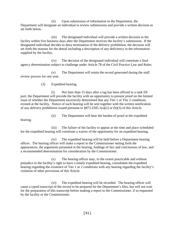(ii) Upon submission of information to the Department, the Department will designate an individual to review submissions and provide a written decision as set forth below.

(iii) The designated individual will provide a written decision to the facility within five business days after the Department receives the facility's submission. If the designated individual decides to deny termination of the delivery prohibition, the decision will set forth the reasons for the denial including a description of any deficiency in the information supplied by the facility.

(iv) The decision of the designated individual will constitute a final agency determination subject to challenge under Article 78 of the Civil Practice Law and Rules.

(v) The Department will retain the record generated during the staff review process for one year.

(3) Expedited hearing.

(i) Not later than 15 days after a tag has been affixed to a tank fill port, the Department will provide the facility with an opportunity to present proof on the limited issue of whether the Department incorrectly determined that any Tier 1 or Tier 2 conditions existed at the facility. Notice of such hearing will be sent together with the written notification of any delivery prohibition issued pursuant to §873.2505.1(a)(2) or (b)(3) of this Article.

(ii) The Department will bear the burden of proof at the expedited

hearing.

(iii) The failure of the facility to appear at the time and place scheduled for the expedited hearing will constitute a waiver of the opportunity for an expedited hearing.

(iv) The expedited hearing will be held before a Department hearing officer. The hearing officer will make a report to the Commissioner setting forth the appearances, the arguments presented at the hearing, findings of fact and conclusions of law, and a recommended determination for consideration by the Commissioner.

(v) The hearing officer may, to the extent practicable and without prejudice to the facility's right to have a timely expedited hearing, consolidate the expedited hearing regarding the existence of Tier 1 or 2 conditions with any hearing regarding the facility's violation of other provisions of this Article.

(vi) The expedited hearing will be recorded. The hearing officer will cause a typed transcript of the record to be prepared for the Department's files, but will not wait for the preparation of this transcript before making a report to the Commissioner, if so requested by the facility or the Commissioner.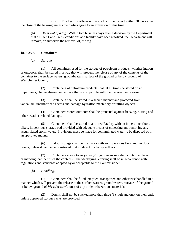(vii) The hearing officer will issue his or her report within 30 days after the close of the hearing, unless the parties agree to an extension of this time.

(b) *Removal of a tag*. Within two business days after a decision by the Department that all Tier 1 and Tier 2 conditions at a facility have been resolved, the Department will remove, or authorize the removal of, the tag.

# **§873.2506 Containers**

(a) *Storage.*

(1) All containers used for the storage of petroleum products, whether indoors or outdoors, shall be stored in a way that will prevent the release of any of the contents of the container to the surface waters, groundwaters, surface of the ground or below ground of Westchester County

. (2) Containers of petroleum products shall at all times be stored on an impervious, chemical-resistant surface that is compatible with the material being stored.

(3) Containers shall be stored in a secure manner and protected from vandalism, unauthorized access and damage by traffic, machinery or falling objects.

(4) Containers stored outdoors shall be protected against freezing, rusting and other weather-related damage.

(5) Containers shall be stored in a roofed Facility with an impervious floor, diked, impervious storage pad provided with adequate means of collecting and removing any accumulated storm water. Provisions must be made for contaminated water to be disposed of in an approved manner.

(6) Indoor storage shall be in an area with an impervious floor and no floor drains, unless it can be demonstrated that no direct discharge will occur.

(7) Containers above twenty-five (25) gallons in size shall contain a placard or marking that identifies the contents. The identifying lettering shall be in accordance with regulations and standards adopted by or acceptable to the Commissioner.

(b). *Handling.*

(1) Containers shall be filled, emptied, transported and otherwise handled in a manner which will prevent the release to the surface waters, groundwaters, surface of the ground or below ground of Westchester County of any toxic or hazardous materials.

(2) Drums shall not be stacked more than three (3) high and only on their ends unless approved storage racks are provided.